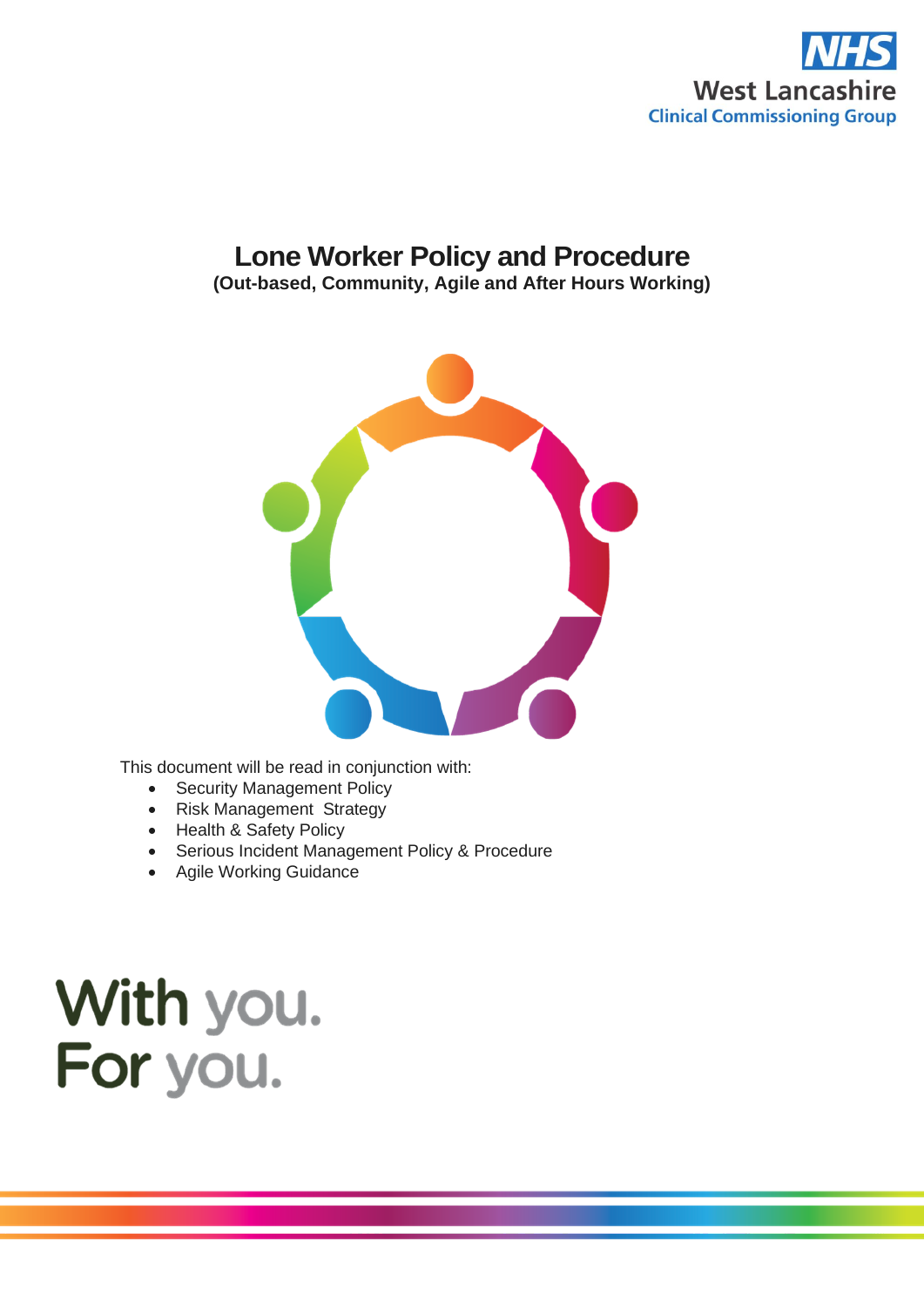

# **Lone Worker Policy and Procedure**

**(Out-based, Community, Agile and After Hours Working)**



This document will be read in conjunction with:

- Security Management Policy
- Risk Management Strategy
- Health & Safety Policy
- Serious Incident Management Policy & Procedure
- Agile Working Guidance

# With you. For you.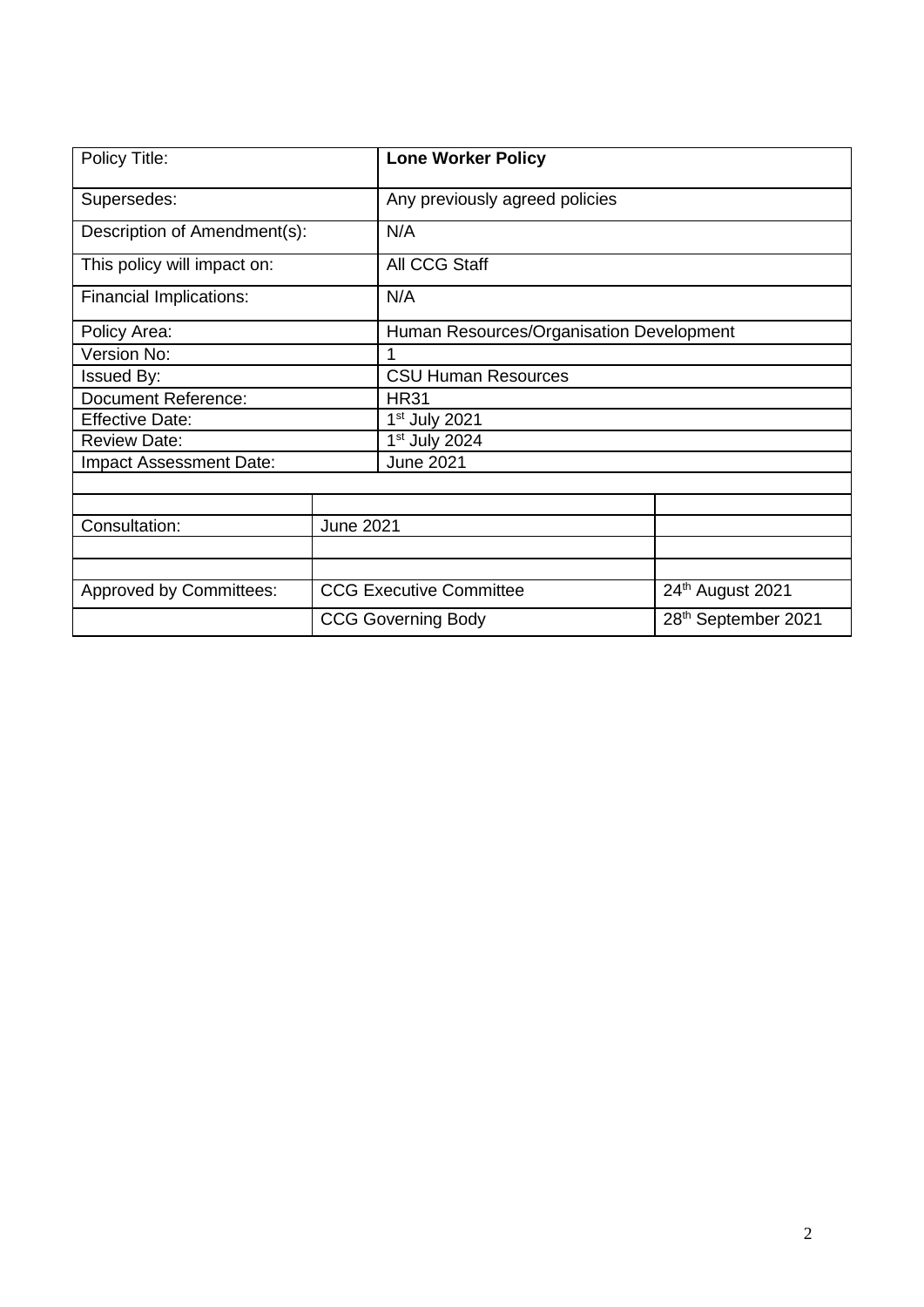| Policy Title:                  |                                                    | <b>Lone Worker Policy</b>                |                                 |  |  |
|--------------------------------|----------------------------------------------------|------------------------------------------|---------------------------------|--|--|
| Supersedes:                    |                                                    | Any previously agreed policies           |                                 |  |  |
| Description of Amendment(s):   |                                                    | N/A                                      |                                 |  |  |
| This policy will impact on:    |                                                    | All CCG Staff                            |                                 |  |  |
| Financial Implications:        |                                                    | N/A                                      |                                 |  |  |
| Policy Area:                   |                                                    | Human Resources/Organisation Development |                                 |  |  |
| Version No:                    |                                                    | 1                                        |                                 |  |  |
| <b>Issued By:</b>              |                                                    | <b>CSU Human Resources</b>               |                                 |  |  |
| <b>Document Reference:</b>     |                                                    | <b>HR31</b>                              |                                 |  |  |
| <b>Effective Date:</b>         |                                                    | $1st$ July 2021                          |                                 |  |  |
| <b>Review Date:</b>            |                                                    | 1 <sup>st</sup> July 2024                |                                 |  |  |
| <b>Impact Assessment Date:</b> |                                                    | <b>June 2021</b>                         |                                 |  |  |
|                                |                                                    |                                          |                                 |  |  |
|                                |                                                    |                                          |                                 |  |  |
| Consultation:                  | <b>June 2021</b>                                   |                                          |                                 |  |  |
|                                |                                                    |                                          |                                 |  |  |
|                                |                                                    |                                          |                                 |  |  |
| <b>Approved by Committees:</b> | <b>CCG Executive Committee</b><br>24th August 2021 |                                          |                                 |  |  |
|                                | <b>CCG Governing Body</b>                          |                                          | 28 <sup>th</sup> September 2021 |  |  |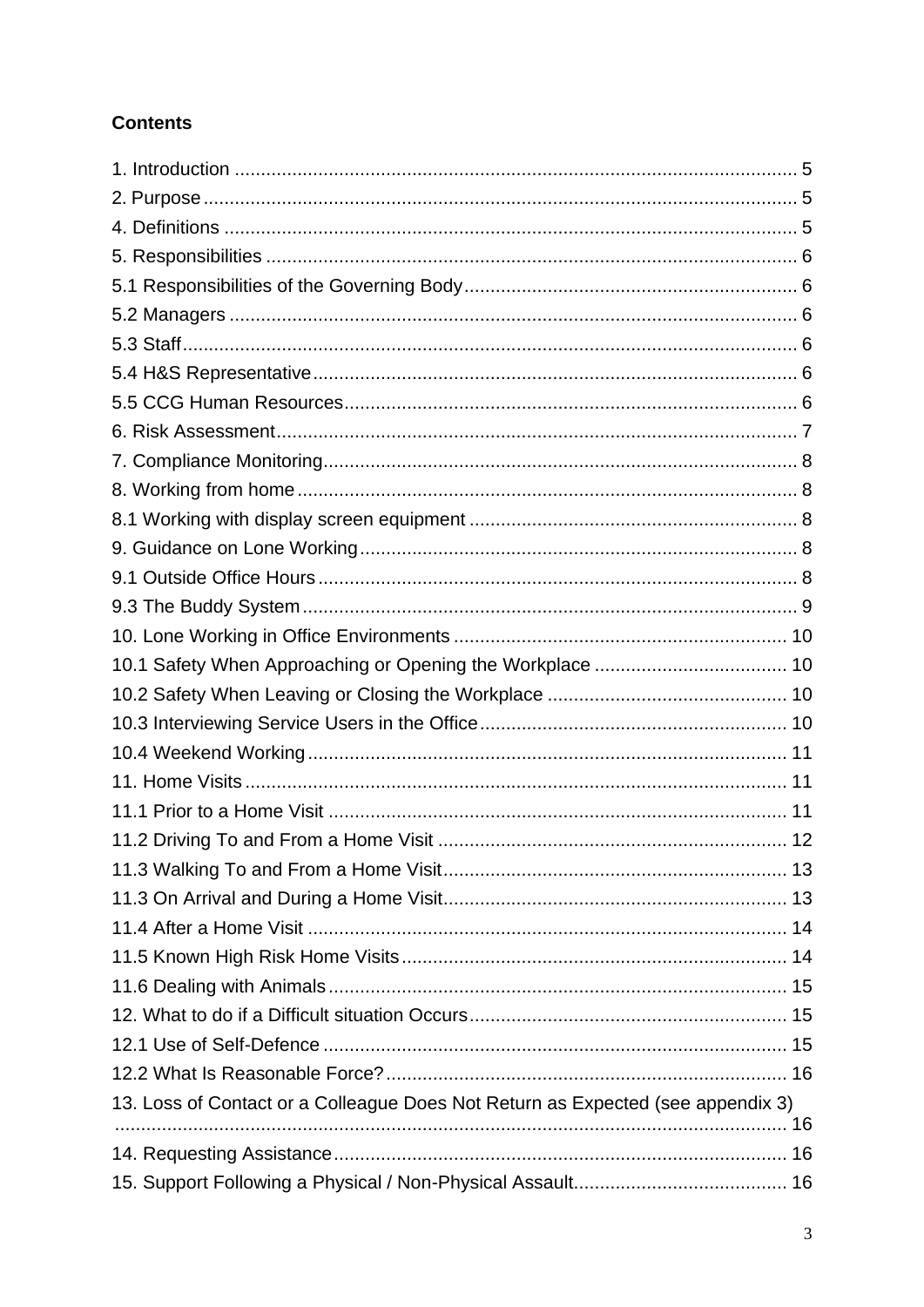# **Contents**

| 13. Loss of Contact or a Colleague Does Not Return as Expected (see appendix 3) |  |
|---------------------------------------------------------------------------------|--|
|                                                                                 |  |
|                                                                                 |  |
|                                                                                 |  |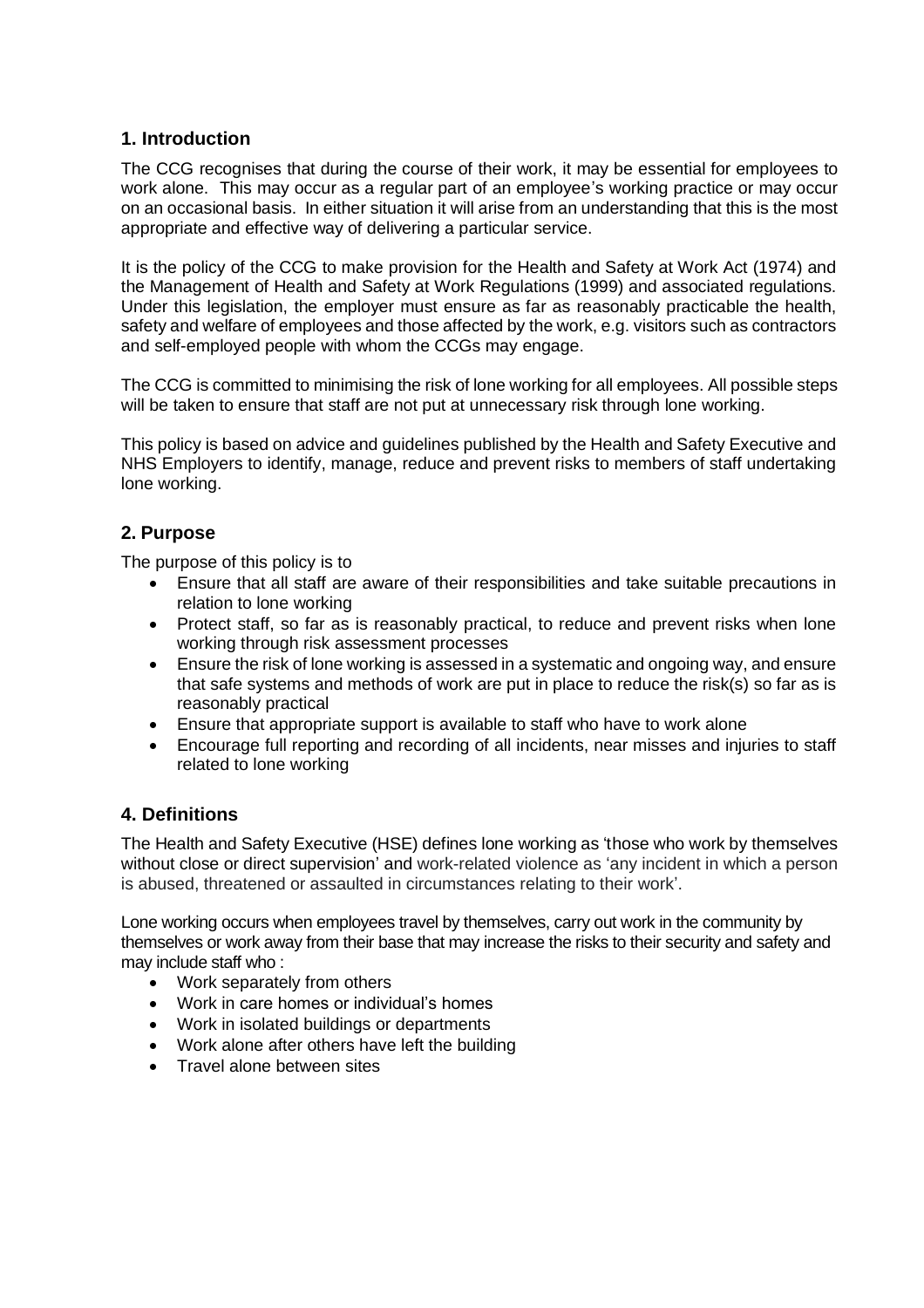# <span id="page-4-0"></span>**1. Introduction**

The CCG recognises that during the course of their work, it may be essential for employees to work alone. This may occur as a regular part of an employee's working practice or may occur on an occasional basis. In either situation it will arise from an understanding that this is the most appropriate and effective way of delivering a particular service.

It is the policy of the CCG to make provision for the Health and Safety at Work Act (1974) and the Management of Health and Safety at Work Regulations (1999) and associated regulations. Under this legislation, the employer must ensure as far as reasonably practicable the health, safety and welfare of employees and those affected by the work, e.g. visitors such as contractors and self-employed people with whom the CCGs may engage.

The CCG is committed to minimising the risk of lone working for all employees. All possible steps will be taken to ensure that staff are not put at unnecessary risk through lone working.

This policy is based on advice and guidelines published by the Health and Safety Executive and NHS Employers to identify, manage, reduce and prevent risks to members of staff undertaking lone working.

# <span id="page-4-1"></span>**2. Purpose**

The purpose of this policy is to

- Ensure that all staff are aware of their responsibilities and take suitable precautions in relation to lone working
- Protect staff, so far as is reasonably practical, to reduce and prevent risks when lone working through risk assessment processes
- Ensure the risk of lone working is assessed in a systematic and ongoing way, and ensure that safe systems and methods of work are put in place to reduce the risk(s) so far as is reasonably practical
- Ensure that appropriate support is available to staff who have to work alone
- Encourage full reporting and recording of all incidents, near misses and injuries to staff related to lone working

# <span id="page-4-2"></span>**4. Definitions**

The Health and Safety Executive (HSE) defines lone working as 'those who work by themselves without close or direct supervision' and work-related violence as 'any incident in which a person is abused, threatened or assaulted in circumstances relating to their work'.

Lone working occurs when employees travel by themselves, carry out work in the community by themselves or work away from their base that may increase the risks to their security and safety and may include staff who :

- Work separately from others
- Work in care homes or individual's homes
- Work in isolated buildings or departments
- Work alone after others have left the building
- Travel alone between sites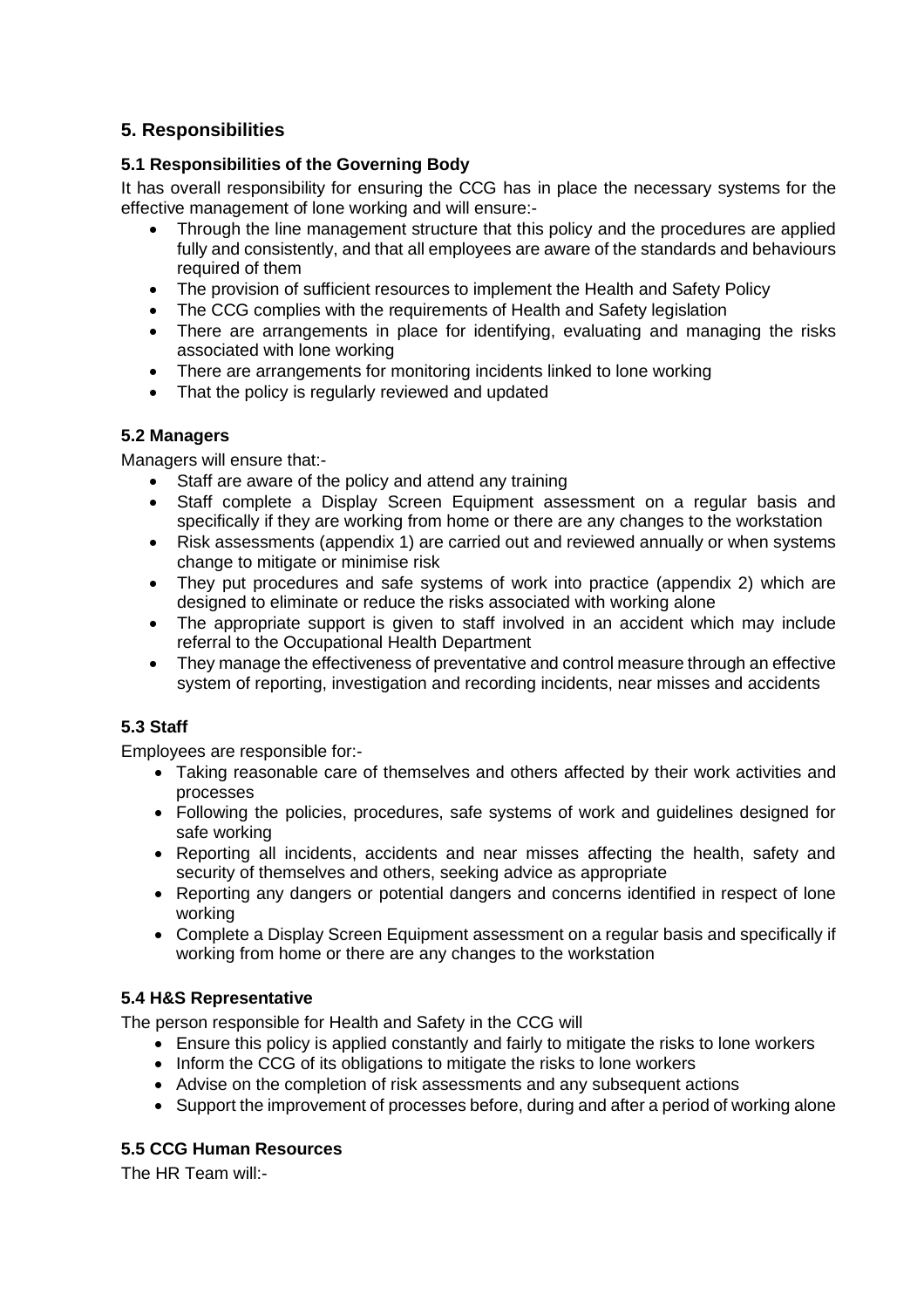# <span id="page-5-0"></span>**5. Responsibilities**

# <span id="page-5-1"></span>**5.1 Responsibilities of the Governing Body**

It has overall responsibility for ensuring the CCG has in place the necessary systems for the effective management of lone working and will ensure:-

- Through the line management structure that this policy and the procedures are applied fully and consistently, and that all employees are aware of the standards and behaviours required of them
- The provision of sufficient resources to implement the Health and Safety Policy
- The CCG complies with the requirements of Health and Safety legislation
- There are arrangements in place for identifying, evaluating and managing the risks associated with lone working
- There are arrangements for monitoring incidents linked to lone working
- That the policy is regularly reviewed and updated

#### <span id="page-5-2"></span>**5.2 Managers**

Managers will ensure that:-

- Staff are aware of the policy and attend any training
- Staff complete a Display Screen Equipment assessment on a regular basis and specifically if they are working from home or there are any changes to the workstation
- Risk assessments (appendix 1) are carried out and reviewed annually or when systems change to mitigate or minimise risk
- They put procedures and safe systems of work into practice (appendix 2) which are designed to eliminate or reduce the risks associated with working alone
- The appropriate support is given to staff involved in an accident which may include referral to the Occupational Health Department
- They manage the effectiveness of preventative and control measure through an effective system of reporting, investigation and recording incidents, near misses and accidents

# <span id="page-5-3"></span>**5.3 Staff**

Employees are responsible for:-

- Taking reasonable care of themselves and others affected by their work activities and processes
- Following the policies, procedures, safe systems of work and guidelines designed for safe working
- Reporting all incidents, accidents and near misses affecting the health, safety and security of themselves and others, seeking advice as appropriate
- Reporting any dangers or potential dangers and concerns identified in respect of lone working
- Complete a Display Screen Equipment assessment on a regular basis and specifically if working from home or there are any changes to the workstation

#### <span id="page-5-4"></span>**5.4 H&S Representative**

The person responsible for Health and Safety in the CCG will

- Ensure this policy is applied constantly and fairly to mitigate the risks to lone workers
- Inform the CCG of its obligations to mitigate the risks to lone workers
- Advise on the completion of risk assessments and any subsequent actions
- Support the improvement of processes before, during and after a period of working alone

#### <span id="page-5-5"></span>**5.5 CCG Human Resources**

The HR Team will:-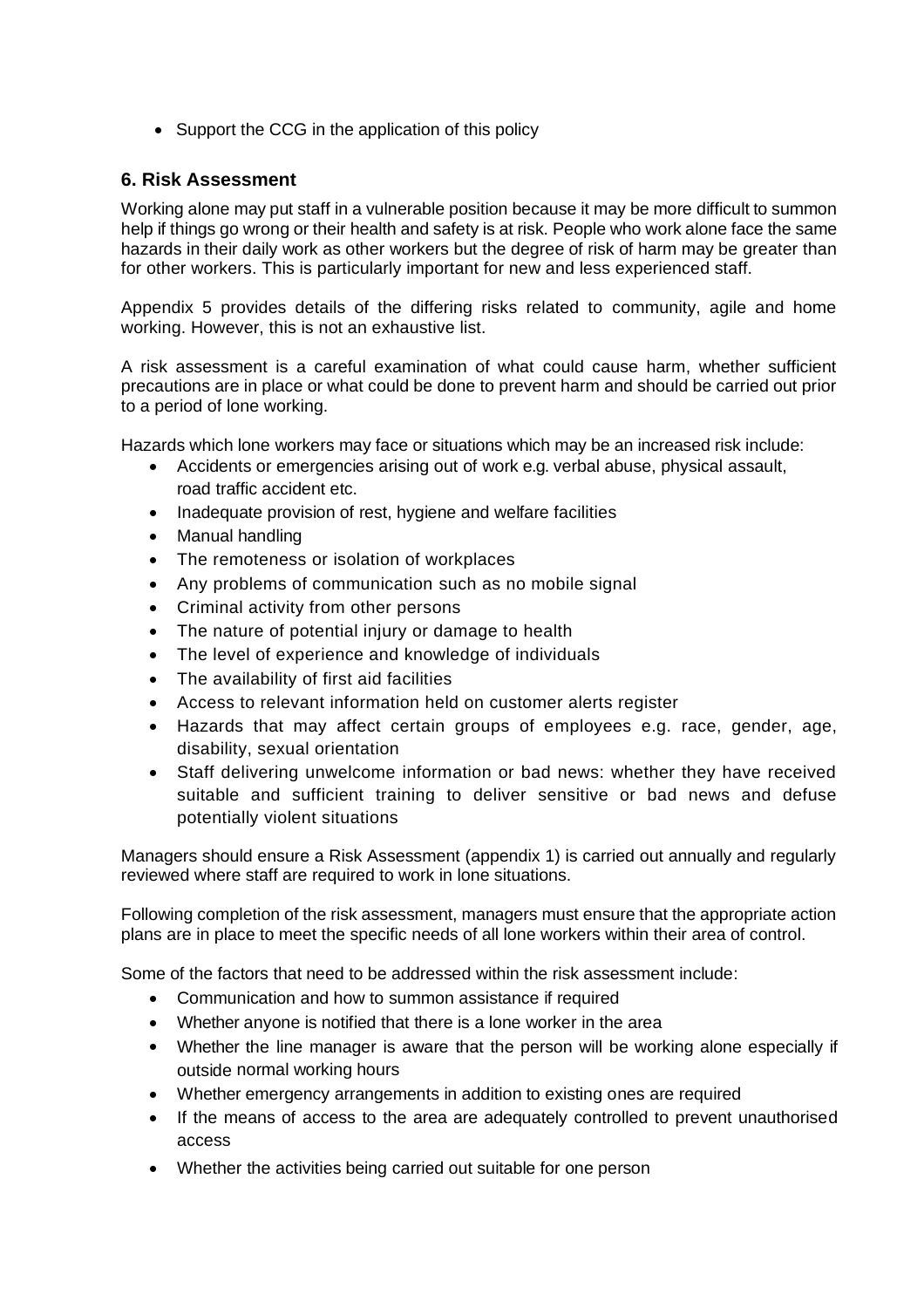• Support the CCG in the application of this policy

# <span id="page-6-0"></span>**6. Risk Assessment**

Working alone may put staff in a vulnerable position because it may be more difficult to summon help if things go wrong or their health and safety is at risk. People who work alone face the same hazards in their daily work as other workers but the degree of risk of harm may be greater than for other workers. This is particularly important for new and less experienced staff.

Appendix 5 provides details of the differing risks related to community, agile and home working. However, this is not an exhaustive list.

A risk assessment is a careful examination of what could cause harm, whether sufficient precautions are in place or what could be done to prevent harm and should be carried out prior to a period of lone working.

Hazards which lone workers may face or situations which may be an increased risk include:

- Accidents or emergencies arising out of work e.g. verbal abuse, physical assault, road traffic accident etc.
- Inadequate provision of rest, hygiene and welfare facilities
- Manual handling
- The remoteness or isolation of workplaces
- Any problems of communication such as no mobile signal
- Criminal activity from other persons
- The nature of potential injury or damage to health
- The level of experience and knowledge of individuals
- The availability of first aid facilities
- Access to relevant information held on customer alerts register
- Hazards that may affect certain groups of employees e.g. race, gender, age, disability, sexual orientation
- Staff delivering unwelcome information or bad news: whether they have received suitable and sufficient training to deliver sensitive or bad news and defuse potentially violent situations

Managers should ensure a Risk Assessment (appendix 1) is carried out annually and regularly reviewed where staff are required to work in lone situations.

Following completion of the risk assessment, managers must ensure that the appropriate action plans are in place to meet the specific needs of all lone workers within their area of control.

Some of the factors that need to be addressed within the risk assessment include:

- Communication and how to summon assistance if required
- Whether anyone is notified that there is a lone worker in the area
- Whether the line manager is aware that the person will be working alone especially if outside normal working hours
- Whether emergency arrangements in addition to existing ones are required
- If the means of access to the area are adequately controlled to prevent unauthorised access
- Whether the activities being carried out suitable for one person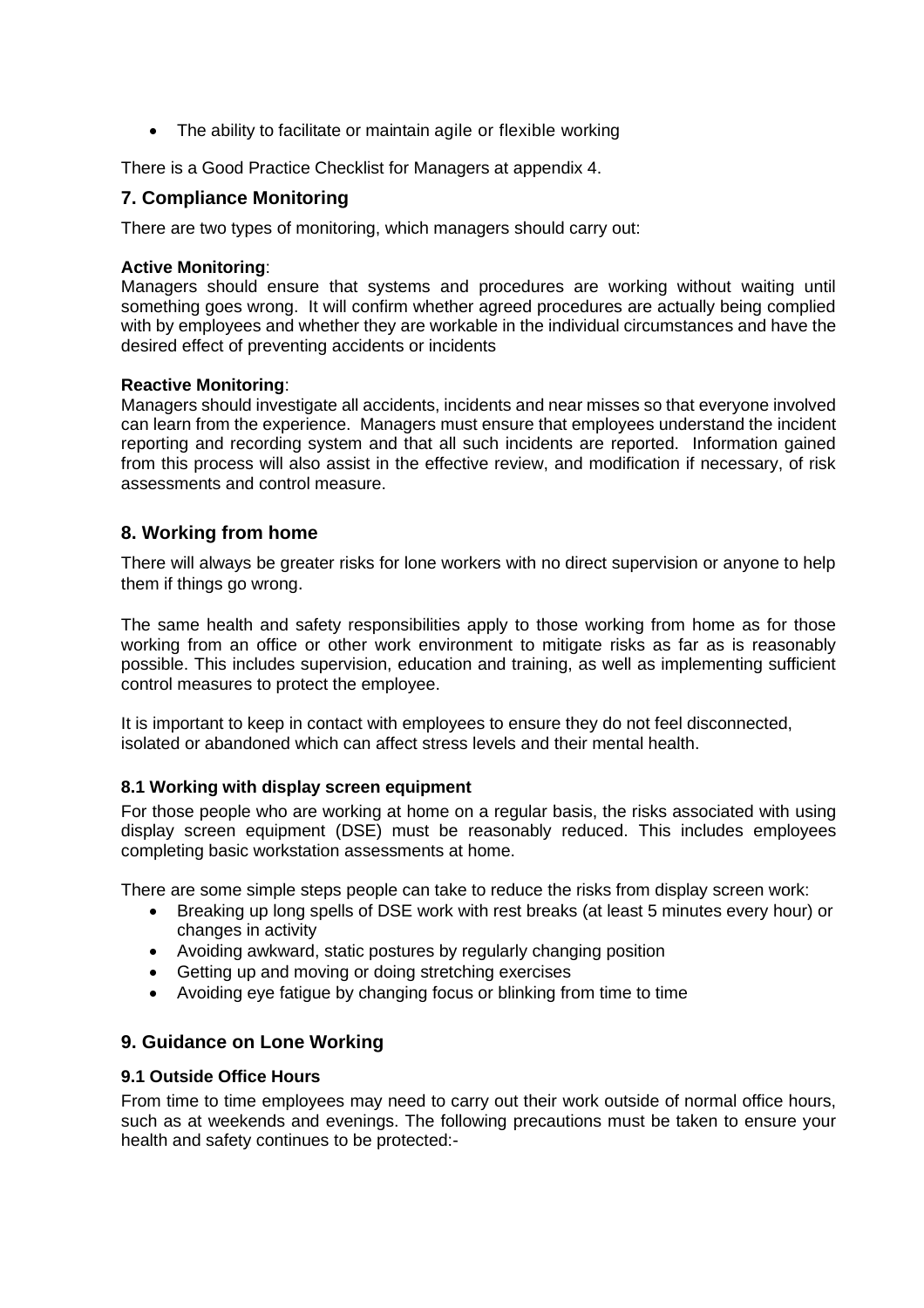• The ability to facilitate or maintain agile or flexible working

There is a Good Practice Checklist for Managers at appendix 4.

## <span id="page-7-0"></span>**7. Compliance Monitoring**

There are two types of monitoring, which managers should carry out:

#### **Active Monitoring**:

Managers should ensure that systems and procedures are working without waiting until something goes wrong. It will confirm whether agreed procedures are actually being complied with by employees and whether they are workable in the individual circumstances and have the desired effect of preventing accidents or incidents

#### **Reactive Monitoring**:

Managers should investigate all accidents, incidents and near misses so that everyone involved can learn from the experience. Managers must ensure that employees understand the incident reporting and recording system and that all such incidents are reported. Information gained from this process will also assist in the effective review, and modification if necessary, of risk assessments and control measure.

#### <span id="page-7-1"></span>**8. Working from home**

There will always be greater risks for lone workers with no direct supervision or anyone to help them if things go wrong.

The same health and safety responsibilities apply to those working from home as for those working from an office or other work environment to mitigate risks as far as is reasonably possible. This includes supervision, education and training, as well as implementing sufficient control measures to protect the employee.

It is important to keep in contact with employees to ensure they do not feel disconnected, isolated or abandoned which can affect stress levels and their mental health.

#### <span id="page-7-2"></span>**8.1 Working with display screen equipment**

For those people who are working at home on a regular basis, the risks associated with using display screen equipment (DSE) must be reasonably reduced. This includes employees completing basic workstation assessments at home.

There are some simple steps people can take to reduce the risks from display screen work:

- Breaking up long spells of DSE work with rest breaks (at least 5 minutes every hour) or changes in activity
- Avoiding awkward, static postures by regularly changing position
- Getting up and moving or doing stretching exercises
- Avoiding eye fatigue by changing focus or blinking from time to time

# <span id="page-7-3"></span>**9. Guidance on Lone Working**

#### <span id="page-7-4"></span>**9.1 Outside Office Hours**

From time to time employees may need to carry out their work outside of normal office hours, such as at weekends and evenings. The following precautions must be taken to ensure your health and safety continues to be protected:-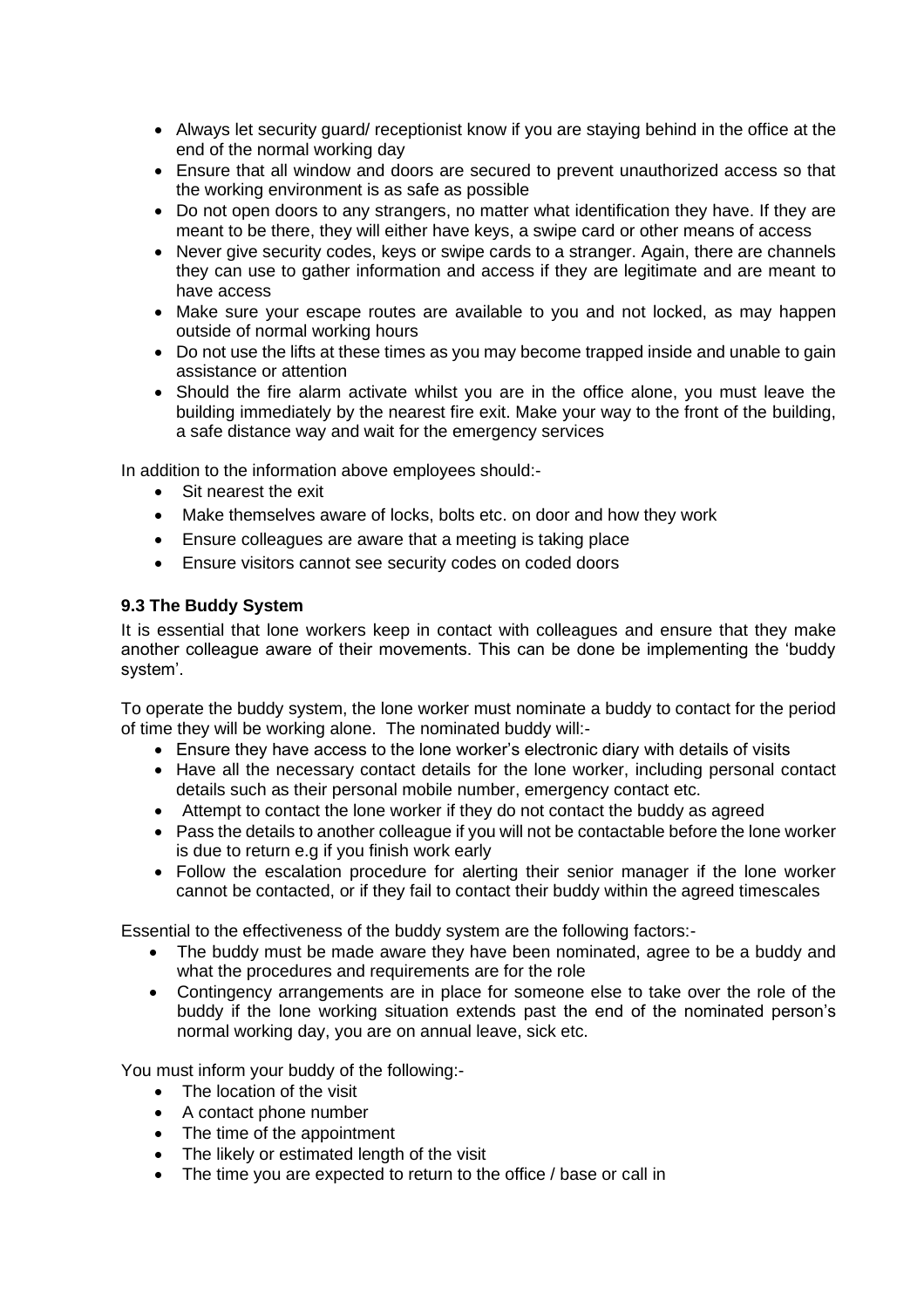- Always let security guard/ receptionist know if you are staying behind in the office at the end of the normal working day
- Ensure that all window and doors are secured to prevent unauthorized access so that the working environment is as safe as possible
- Do not open doors to any strangers, no matter what identification they have. If they are meant to be there, they will either have keys, a swipe card or other means of access
- Never give security codes, keys or swipe cards to a stranger. Again, there are channels they can use to gather information and access if they are legitimate and are meant to have access
- Make sure your escape routes are available to you and not locked, as may happen outside of normal working hours
- Do not use the lifts at these times as you may become trapped inside and unable to gain assistance or attention
- Should the fire alarm activate whilst you are in the office alone, you must leave the building immediately by the nearest fire exit. Make your way to the front of the building, a safe distance way and wait for the emergency services

In addition to the information above employees should:-

- Sit nearest the exit
- Make themselves aware of locks, bolts etc. on door and how they work
- Ensure colleagues are aware that a meeting is taking place
- Ensure visitors cannot see security codes on coded doors

#### <span id="page-8-0"></span>**9.3 The Buddy System**

It is essential that lone workers keep in contact with colleagues and ensure that they make another colleague aware of their movements. This can be done be implementing the 'buddy system'.

To operate the buddy system, the lone worker must nominate a buddy to contact for the period of time they will be working alone. The nominated buddy will:-

- Ensure they have access to the lone worker's electronic diary with details of visits
- Have all the necessary contact details for the lone worker, including personal contact details such as their personal mobile number, emergency contact etc.
- Attempt to contact the lone worker if they do not contact the buddy as agreed
- Pass the details to another colleague if you will not be contactable before the lone worker is due to return e.g if you finish work early
- Follow the escalation procedure for alerting their senior manager if the lone worker cannot be contacted, or if they fail to contact their buddy within the agreed timescales

Essential to the effectiveness of the buddy system are the following factors:-

- The buddy must be made aware they have been nominated, agree to be a buddy and what the procedures and requirements are for the role
- Contingency arrangements are in place for someone else to take over the role of the buddy if the lone working situation extends past the end of the nominated person's normal working day, you are on annual leave, sick etc.

You must inform your buddy of the following:-

- The location of the visit
- A contact phone number
- The time of the appointment
- The likely or estimated length of the visit
- The time you are expected to return to the office / base or call in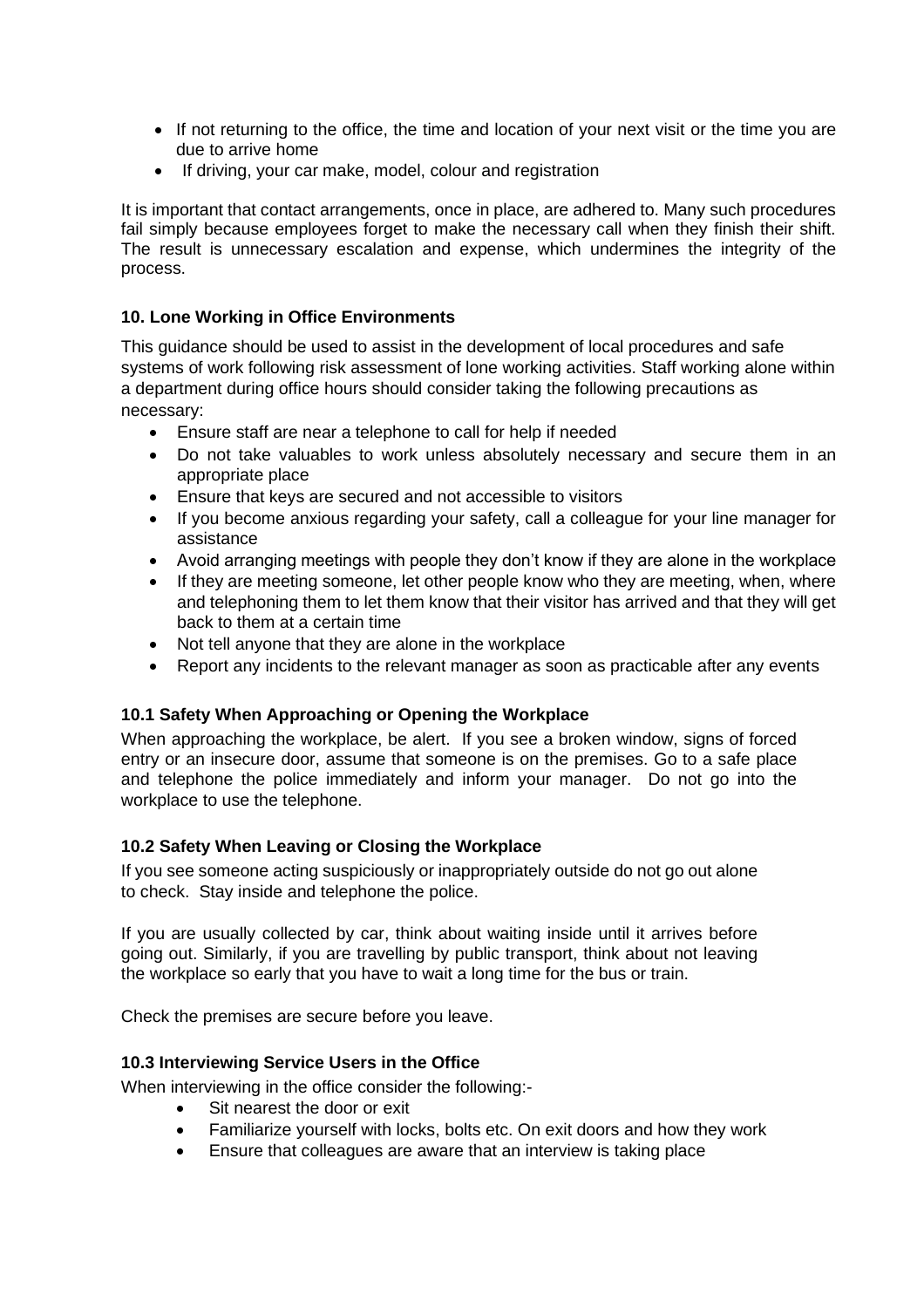- If not returning to the office, the time and location of your next visit or the time you are due to arrive home
- If driving, your car make, model, colour and registration

It is important that contact arrangements, once in place, are adhered to. Many such procedures fail simply because employees forget to make the necessary call when they finish their shift. The result is unnecessary escalation and expense, which undermines the integrity of the process.

#### <span id="page-9-0"></span>**10. Lone Working in Office Environments**

This guidance should be used to assist in the development of local procedures and safe systems of work following risk assessment of lone working activities. Staff working alone within a department during office hours should consider taking the following precautions as necessary:

- Ensure staff are near a telephone to call for help if needed
- Do not take valuables to work unless absolutely necessary and secure them in an appropriate place
- Ensure that keys are secured and not accessible to visitors
- If you become anxious regarding your safety, call a colleague for your line manager for assistance
- Avoid arranging meetings with people they don't know if they are alone in the workplace
- If they are meeting someone, let other people know who they are meeting, when, where and telephoning them to let them know that their visitor has arrived and that they will get back to them at a certain time
- Not tell anyone that they are alone in the workplace
- Report any incidents to the relevant manager as soon as practicable after any events

# <span id="page-9-1"></span>**10.1 Safety When Approaching or Opening the Workplace**

When approaching the workplace, be alert. If you see a broken window, signs of forced entry or an insecure door, assume that someone is on the premises. Go to a safe place and telephone the police immediately and inform your manager. Do not go into the workplace to use the telephone.

#### <span id="page-9-2"></span>**10.2 Safety When Leaving or Closing the Workplace**

If you see someone acting suspiciously or inappropriately outside do not go out alone to check. Stay inside and telephone the police.

If you are usually collected by car, think about waiting inside until it arrives before going out. Similarly, if you are travelling by public transport, think about not leaving the workplace so early that you have to wait a long time for the bus or train.

Check the premises are secure before you leave.

#### <span id="page-9-3"></span>**10.3 Interviewing Service Users in the Office**

When interviewing in the office consider the following:-

- Sit nearest the door or exit
- Familiarize yourself with locks, bolts etc. On exit doors and how they work
- Ensure that colleagues are aware that an interview is taking place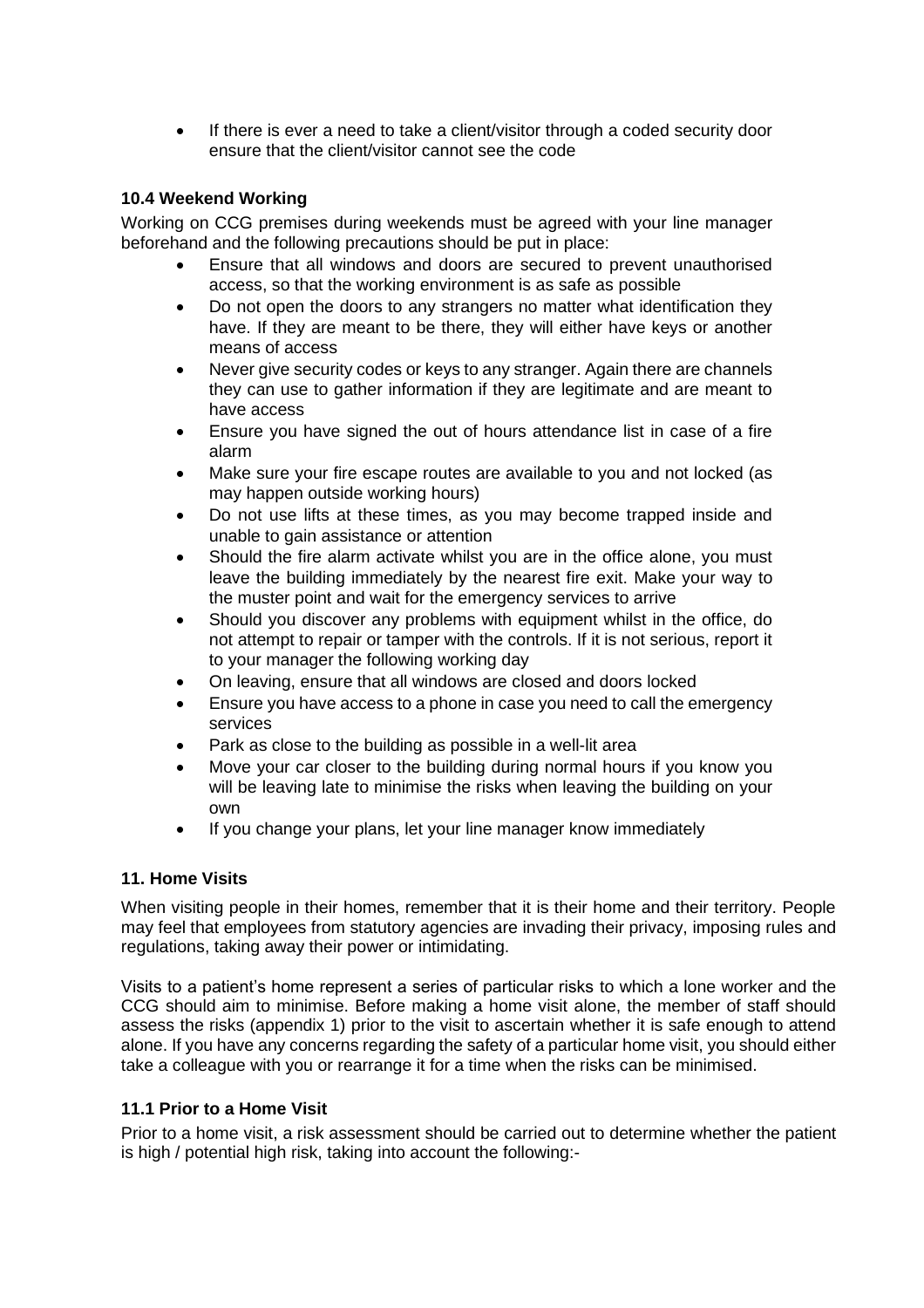• If there is ever a need to take a client/visitor through a coded security door ensure that the client/visitor cannot see the code

#### <span id="page-10-0"></span>**10.4 Weekend Working**

Working on CCG premises during weekends must be agreed with your line manager beforehand and the following precautions should be put in place:

- Ensure that all windows and doors are secured to prevent unauthorised access, so that the working environment is as safe as possible
- Do not open the doors to any strangers no matter what identification they have. If they are meant to be there, they will either have keys or another means of access
- Never give security codes or keys to any stranger. Again there are channels they can use to gather information if they are legitimate and are meant to have access
- Ensure you have signed the out of hours attendance list in case of a fire alarm
- Make sure your fire escape routes are available to you and not locked (as may happen outside working hours)
- Do not use lifts at these times, as you may become trapped inside and unable to gain assistance or attention
- Should the fire alarm activate whilst you are in the office alone, you must leave the building immediately by the nearest fire exit. Make your way to the muster point and wait for the emergency services to arrive
- Should you discover any problems with equipment whilst in the office, do not attempt to repair or tamper with the controls. If it is not serious, report it to your manager the following working day
- On leaving, ensure that all windows are closed and doors locked
- Ensure you have access to a phone in case you need to call the emergency services
- Park as close to the building as possible in a well-lit area
- Move your car closer to the building during normal hours if you know you will be leaving late to minimise the risks when leaving the building on your own
- If you change your plans, let your line manager know immediately

# <span id="page-10-1"></span>**11. Home Visits**

When visiting people in their homes, remember that it is their home and their territory. People may feel that employees from statutory agencies are invading their privacy, imposing rules and regulations, taking away their power or intimidating.

Visits to a patient's home represent a series of particular risks to which a lone worker and the CCG should aim to minimise. Before making a home visit alone, the member of staff should assess the risks (appendix 1) prior to the visit to ascertain whether it is safe enough to attend alone. If you have any concerns regarding the safety of a particular home visit, you should either take a colleague with you or rearrange it for a time when the risks can be minimised.

#### <span id="page-10-2"></span>**11.1 Prior to a Home Visit**

Prior to a home visit, a risk assessment should be carried out to determine whether the patient is high / potential high risk, taking into account the following:-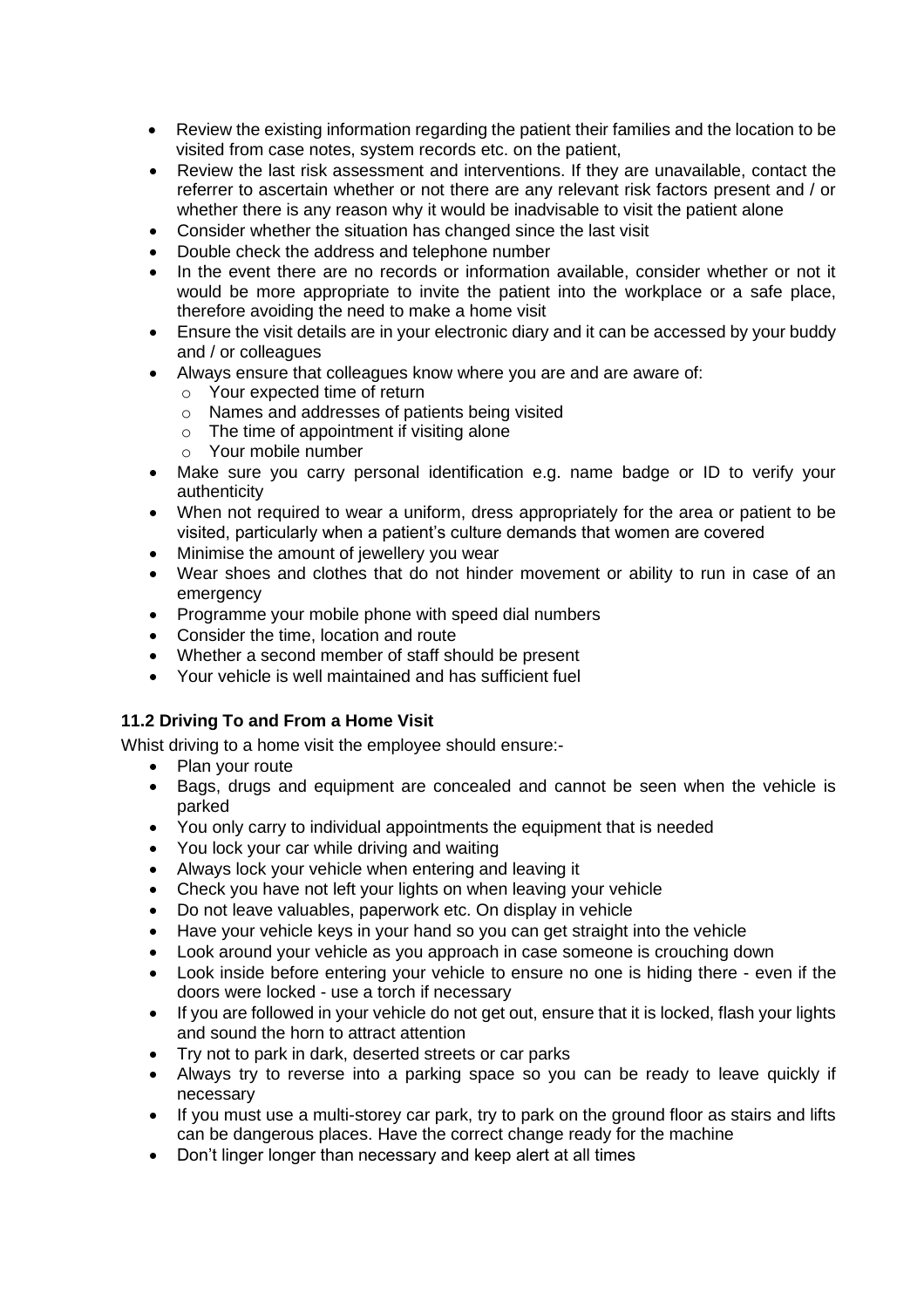- Review the existing information regarding the patient their families and the location to be visited from case notes, system records etc. on the patient,
- Review the last risk assessment and interventions. If they are unavailable, contact the referrer to ascertain whether or not there are any relevant risk factors present and / or whether there is any reason why it would be inadvisable to visit the patient alone
- Consider whether the situation has changed since the last visit
- Double check the address and telephone number
- In the event there are no records or information available, consider whether or not it would be more appropriate to invite the patient into the workplace or a safe place, therefore avoiding the need to make a home visit
- Ensure the visit details are in your electronic diary and it can be accessed by your buddy and / or colleagues
- Always ensure that colleagues know where you are and are aware of:
	- o Your expected time of return
	- o Names and addresses of patients being visited
	- o The time of appointment if visiting alone
	- o Your mobile number
- Make sure you carry personal identification e.g. name badge or ID to verify your authenticity
- When not required to wear a uniform, dress appropriately for the area or patient to be visited, particularly when a patient's culture demands that women are covered
- Minimise the amount of jewellery you wear
- Wear shoes and clothes that do not hinder movement or ability to run in case of an emergency
- Programme your mobile phone with speed dial numbers
- Consider the time, location and route
- Whether a second member of staff should be present
- Your vehicle is well maintained and has sufficient fuel

# <span id="page-11-0"></span>**11.2 Driving To and From a Home Visit**

Whist driving to a home visit the employee should ensure:-

- Plan your route
- Bags, drugs and equipment are concealed and cannot be seen when the vehicle is parked
- You only carry to individual appointments the equipment that is needed
- You lock your car while driving and waiting
- Always lock your vehicle when entering and leaving it
- Check you have not left your lights on when leaving your vehicle
- Do not leave valuables, paperwork etc. On display in vehicle
- Have your vehicle keys in your hand so you can get straight into the vehicle
- Look around your vehicle as you approach in case someone is crouching down
- Look inside before entering your vehicle to ensure no one is hiding there even if the doors were locked - use a torch if necessary
- If you are followed in your vehicle do not get out, ensure that it is locked, flash your lights and sound the horn to attract attention
- Try not to park in dark, deserted streets or car parks
- Always try to reverse into a parking space so you can be ready to leave quickly if necessary
- If you must use a multi-storey car park, try to park on the ground floor as stairs and lifts can be dangerous places. Have the correct change ready for the machine
- Don't linger longer than necessary and keep alert at all times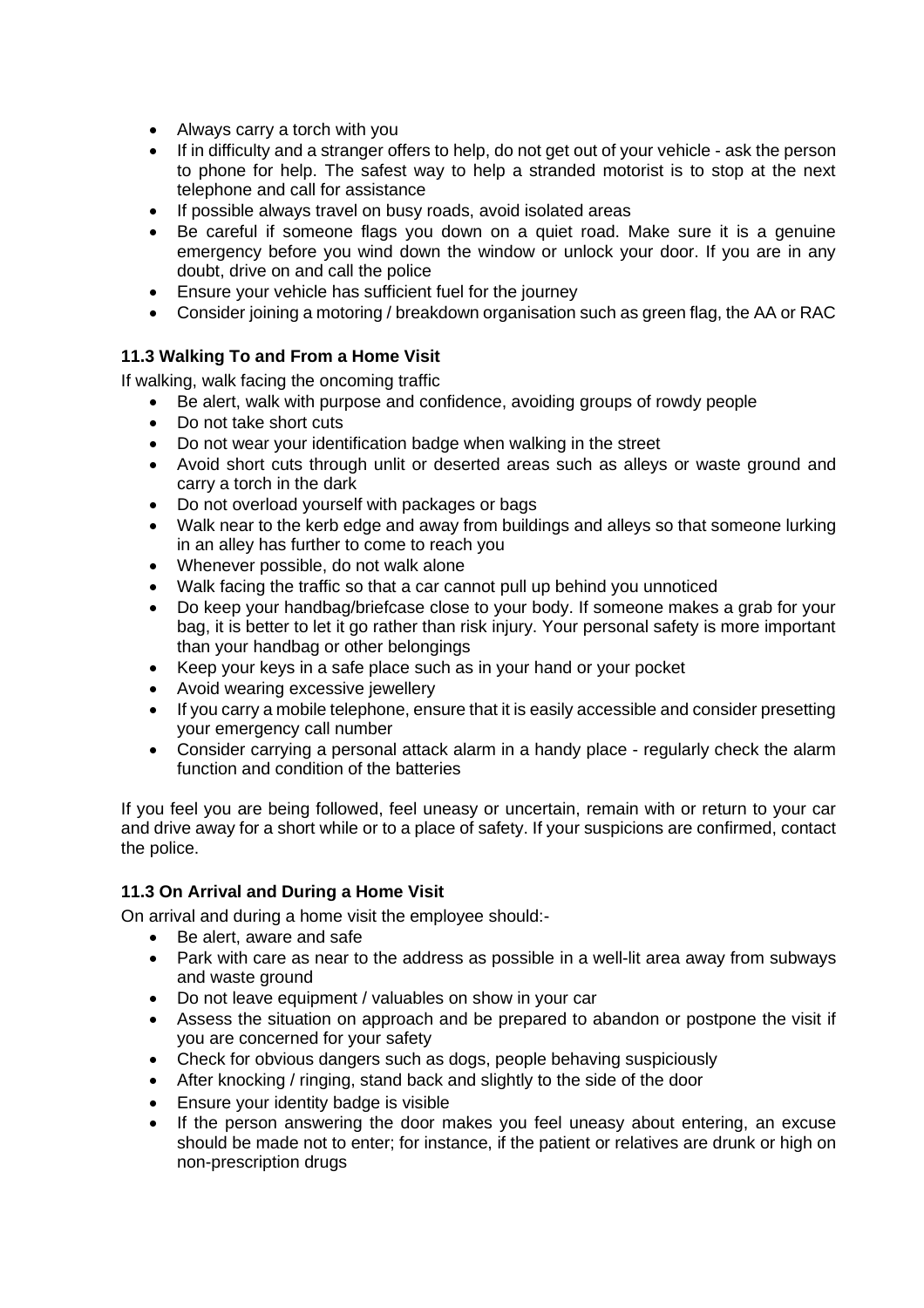- Always carry a torch with you
- If in difficulty and a stranger offers to help, do not get out of your vehicle ask the person to phone for help. The safest way to help a stranded motorist is to stop at the next telephone and call for assistance
- If possible always travel on busy roads, avoid isolated areas
- Be careful if someone flags you down on a quiet road. Make sure it is a genuine emergency before you wind down the window or unlock your door. If you are in any doubt, drive on and call the police
- Ensure your vehicle has sufficient fuel for the journey
- Consider joining a motoring / breakdown organisation such as green flag, the AA or RAC

# <span id="page-12-0"></span>**11.3 Walking To and From a Home Visit**

If walking, walk facing the oncoming traffic

- Be alert, walk with purpose and confidence, avoiding groups of rowdy people
- Do not take short cuts
- Do not wear your identification badge when walking in the street
- Avoid short cuts through unlit or deserted areas such as alleys or waste ground and carry a torch in the dark
- Do not overload yourself with packages or bags
- Walk near to the kerb edge and away from buildings and alleys so that someone lurking in an alley has further to come to reach you
- Whenever possible, do not walk alone
- Walk facing the traffic so that a car cannot pull up behind you unnoticed
- Do keep your handbag/briefcase close to your body. If someone makes a grab for your bag, it is better to let it go rather than risk injury. Your personal safety is more important than your handbag or other belongings
- Keep your keys in a safe place such as in your hand or your pocket
- Avoid wearing excessive jewellery
- If you carry a mobile telephone, ensure that it is easily accessible and consider presetting your emergency call number
- Consider carrying a personal attack alarm in a handy place regularly check the alarm function and condition of the batteries

If you feel you are being followed, feel uneasy or uncertain, remain with or return to your car and drive away for a short while or to a place of safety. If your suspicions are confirmed, contact the police.

# <span id="page-12-1"></span>**11.3 On Arrival and During a Home Visit**

On arrival and during a home visit the employee should:-

- Be alert, aware and safe
- Park with care as near to the address as possible in a well-lit area away from subways and waste ground
- Do not leave equipment / valuables on show in your car
- Assess the situation on approach and be prepared to abandon or postpone the visit if you are concerned for your safety
- Check for obvious dangers such as dogs, people behaving suspiciously
- After knocking / ringing, stand back and slightly to the side of the door
- Ensure your identity badge is visible
- If the person answering the door makes you feel uneasy about entering, an excuse should be made not to enter; for instance, if the patient or relatives are drunk or high on non-prescription drugs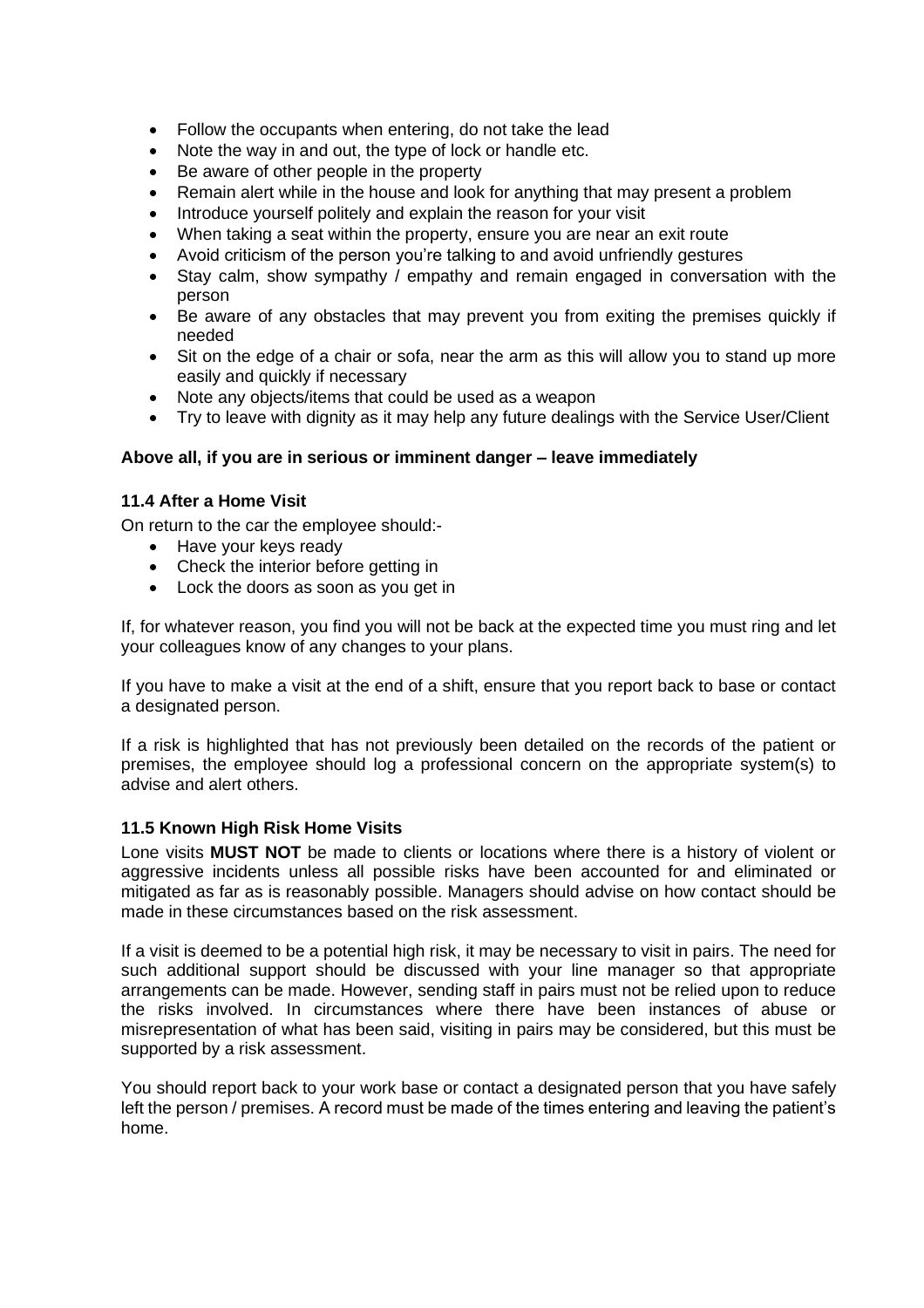- Follow the occupants when entering, do not take the lead
- Note the way in and out, the type of lock or handle etc.
- Be aware of other people in the property
- Remain alert while in the house and look for anything that may present a problem
- Introduce yourself politely and explain the reason for your visit
- When taking a seat within the property, ensure you are near an exit route
- Avoid criticism of the person you're talking to and avoid unfriendly gestures
- Stay calm, show sympathy / empathy and remain engaged in conversation with the person
- Be aware of any obstacles that may prevent you from exiting the premises quickly if needed
- Sit on the edge of a chair or sofa, near the arm as this will allow you to stand up more easily and quickly if necessary
- Note any objects/items that could be used as a weapon
- Try to leave with dignity as it may help any future dealings with the Service User/Client

#### **Above all, if you are in serious or imminent danger – leave immediately**

#### <span id="page-13-0"></span>**11.4 After a Home Visit**

On return to the car the employee should:-

- Have your keys ready
- Check the interior before getting in
- Lock the doors as soon as you get in

If, for whatever reason, you find you will not be back at the expected time you must ring and let your colleagues know of any changes to your plans.

If you have to make a visit at the end of a shift, ensure that you report back to base or contact a designated person.

If a risk is highlighted that has not previously been detailed on the records of the patient or premises, the employee should log a professional concern on the appropriate system(s) to advise and alert others.

#### <span id="page-13-1"></span>**11.5 Known High Risk Home Visits**

Lone visits **MUST NOT** be made to clients or locations where there is a history of violent or aggressive incidents unless all possible risks have been accounted for and eliminated or mitigated as far as is reasonably possible. Managers should advise on how contact should be made in these circumstances based on the risk assessment.

If a visit is deemed to be a potential high risk, it may be necessary to visit in pairs. The need for such additional support should be discussed with your line manager so that appropriate arrangements can be made. However, sending staff in pairs must not be relied upon to reduce the risks involved. In circumstances where there have been instances of abuse or misrepresentation of what has been said, visiting in pairs may be considered, but this must be supported by a risk assessment.

You should report back to your work base or contact a designated person that you have safely left the person / premises. A record must be made of the times entering and leaving the patient's home.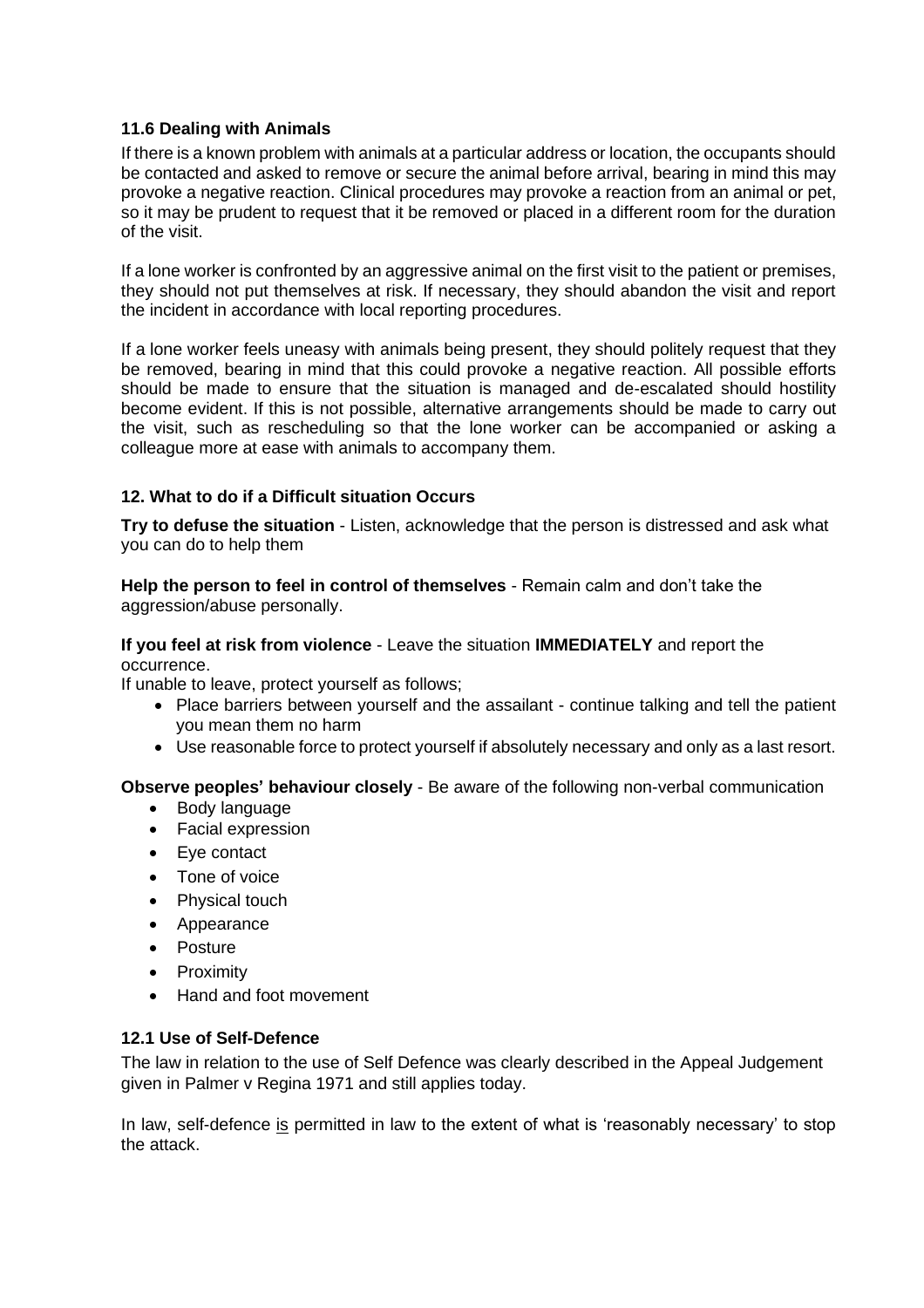#### <span id="page-14-0"></span>**11.6 Dealing with Animals**

If there is a known problem with animals at a particular address or location, the occupants should be contacted and asked to remove or secure the animal before arrival, bearing in mind this may provoke a negative reaction. Clinical procedures may provoke a reaction from an animal or pet, so it may be prudent to request that it be removed or placed in a different room for the duration of the visit.

If a lone worker is confronted by an aggressive animal on the first visit to the patient or premises, they should not put themselves at risk. If necessary, they should abandon the visit and report the incident in accordance with local reporting procedures.

If a lone worker feels uneasy with animals being present, they should politely request that they be removed, bearing in mind that this could provoke a negative reaction. All possible efforts should be made to ensure that the situation is managed and de-escalated should hostility become evident. If this is not possible, alternative arrangements should be made to carry out the visit, such as rescheduling so that the lone worker can be accompanied or asking a colleague more at ease with animals to accompany them.

# <span id="page-14-1"></span>**12. What to do if a Difficult situation Occurs**

**Try to defuse the situation** - Listen, acknowledge that the person is distressed and ask what you can do to help them

**Help the person to feel in control of themselves** - Remain calm and don't take the aggression/abuse personally.

#### **If you feel at risk from violence** - Leave the situation **IMMEDIATELY** and report the occurrence.

If unable to leave, protect yourself as follows;

- Place barriers between yourself and the assailant continue talking and tell the patient you mean them no harm
- Use reasonable force to protect yourself if absolutely necessary and only as a last resort.

**Observe peoples' behaviour closely** - Be aware of the following non-verbal communication

- Body language
- Facial expression
- Eye contact
- Tone of voice
- Physical touch
- Appearance
- Posture
- Proximity
- Hand and foot movement

#### <span id="page-14-2"></span>**12.1 Use of Self-Defence**

The law in relation to the use of Self Defence was clearly described in the Appeal Judgement given in Palmer v Regina 1971 and still applies today.

In law, self-defence is permitted in law to the extent of what is 'reasonably necessary' to stop the attack.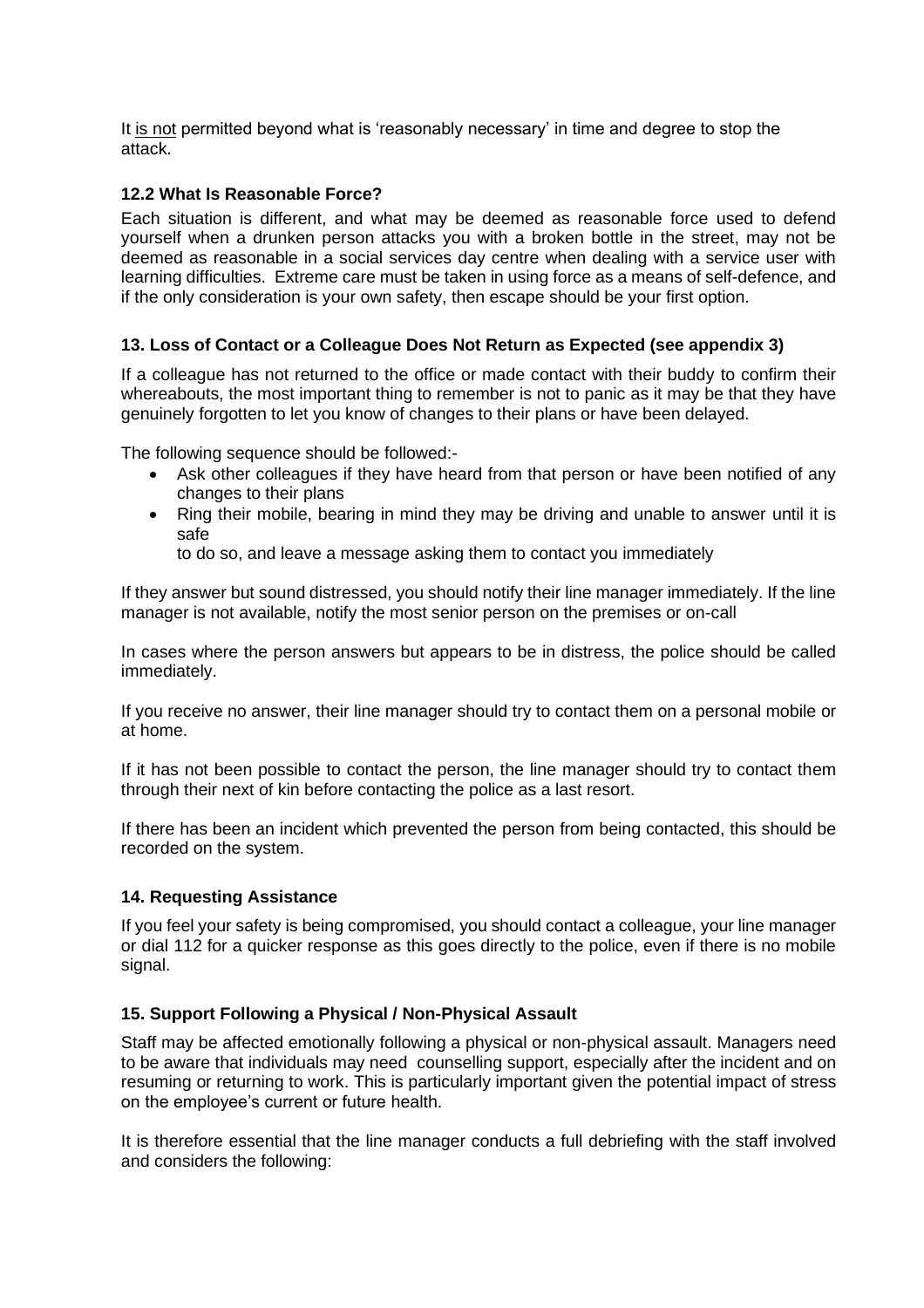It is not permitted beyond what is 'reasonably necessary' in time and degree to stop the attack.

#### <span id="page-15-0"></span>**12.2 What Is Reasonable Force?**

Each situation is different, and what may be deemed as reasonable force used to defend yourself when a drunken person attacks you with a broken bottle in the street, may not be deemed as reasonable in a social services day centre when dealing with a service user with learning difficulties. Extreme care must be taken in using force as a means of self-defence, and if the only consideration is your own safety, then escape should be your first option.

# <span id="page-15-1"></span>**13. Loss of Contact or a Colleague Does Not Return as Expected (see appendix 3)**

If a colleague has not returned to the office or made contact with their buddy to confirm their whereabouts, the most important thing to remember is not to panic as it may be that they have genuinely forgotten to let you know of changes to their plans or have been delayed.

The following sequence should be followed:-

- Ask other colleagues if they have heard from that person or have been notified of any changes to their plans
- Ring their mobile, bearing in mind they may be driving and unable to answer until it is safe

to do so, and leave a message asking them to contact you immediately

If they answer but sound distressed, you should notify their line manager immediately. If the line manager is not available, notify the most senior person on the premises or on-call

In cases where the person answers but appears to be in distress, the police should be called immediately.

If you receive no answer, their line manager should try to contact them on a personal mobile or at home.

If it has not been possible to contact the person, the line manager should try to contact them through their next of kin before contacting the police as a last resort.

If there has been an incident which prevented the person from being contacted, this should be recorded on the system.

#### <span id="page-15-2"></span>**14. Requesting Assistance**

If you feel your safety is being compromised, you should contact a colleague, your line manager or dial 112 for a quicker response as this goes directly to the police, even if there is no mobile signal.

#### <span id="page-15-3"></span>**15. Support Following a Physical / Non-Physical Assault**

Staff may be affected emotionally following a physical or non-physical assault. Managers need to be aware that individuals may need counselling support, especially after the incident and on resuming or returning to work. This is particularly important given the potential impact of stress on the employee's current or future health.

It is therefore essential that the line manager conducts a full debriefing with the staff involved and considers the following: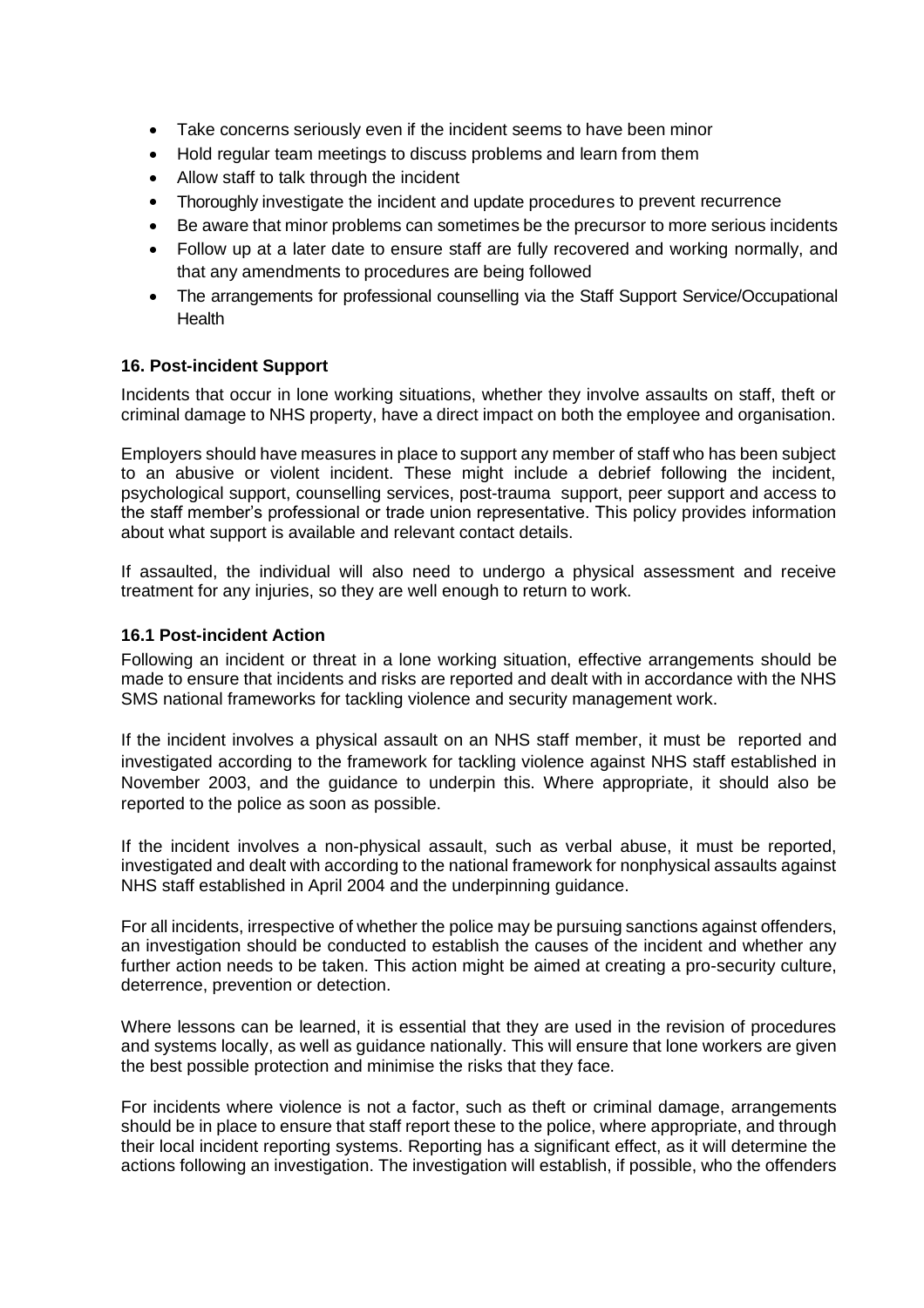- Take concerns seriously even if the incident seems to have been minor
- Hold regular team meetings to discuss problems and learn from them
- Allow staff to talk through the incident
- Thoroughly investigate the incident and update procedures to prevent recurrence
- Be aware that minor problems can sometimes be the precursor to more serious incidents
- Follow up at a later date to ensure staff are fully recovered and working normally, and that any amendments to procedures are being followed
- The arrangements for professional counselling via the Staff Support Service/Occupational **Health**

#### <span id="page-16-0"></span>**16. Post-incident Support**

Incidents that occur in lone working situations, whether they involve assaults on staff, theft or criminal damage to NHS property, have a direct impact on both the employee and organisation.

Employers should have measures in place to support any member of staff who has been subject to an abusive or violent incident. These might include a debrief following the incident, psychological support, counselling services, post-trauma support, peer support and access to the staff member's professional or trade union representative. This policy provides information about what support is available and relevant contact details.

If assaulted, the individual will also need to undergo a physical assessment and receive treatment for any injuries, so they are well enough to return to work.

#### <span id="page-16-1"></span>**16.1 Post-incident Action**

Following an incident or threat in a lone working situation, effective arrangements should be made to ensure that incidents and risks are reported and dealt with in accordance with the NHS SMS national frameworks for tackling violence and security management work.

If the incident involves a physical assault on an NHS staff member, it must be reported and investigated according to the framework for tackling violence against NHS staff established in November 2003, and the guidance to underpin this. Where appropriate, it should also be reported to the police as soon as possible.

If the incident involves a non-physical assault, such as verbal abuse, it must be reported, investigated and dealt with according to the national framework for nonphysical assaults against NHS staff established in April 2004 and the underpinning guidance.

For all incidents, irrespective of whether the police may be pursuing sanctions against offenders, an investigation should be conducted to establish the causes of the incident and whether any further action needs to be taken. This action might be aimed at creating a pro-security culture, deterrence, prevention or detection.

Where lessons can be learned, it is essential that they are used in the revision of procedures and systems locally, as well as guidance nationally. This will ensure that lone workers are given the best possible protection and minimise the risks that they face.

For incidents where violence is not a factor, such as theft or criminal damage, arrangements should be in place to ensure that staff report these to the police, where appropriate, and through their local incident reporting systems. Reporting has a significant effect, as it will determine the actions following an investigation. The investigation will establish, if possible, who the offenders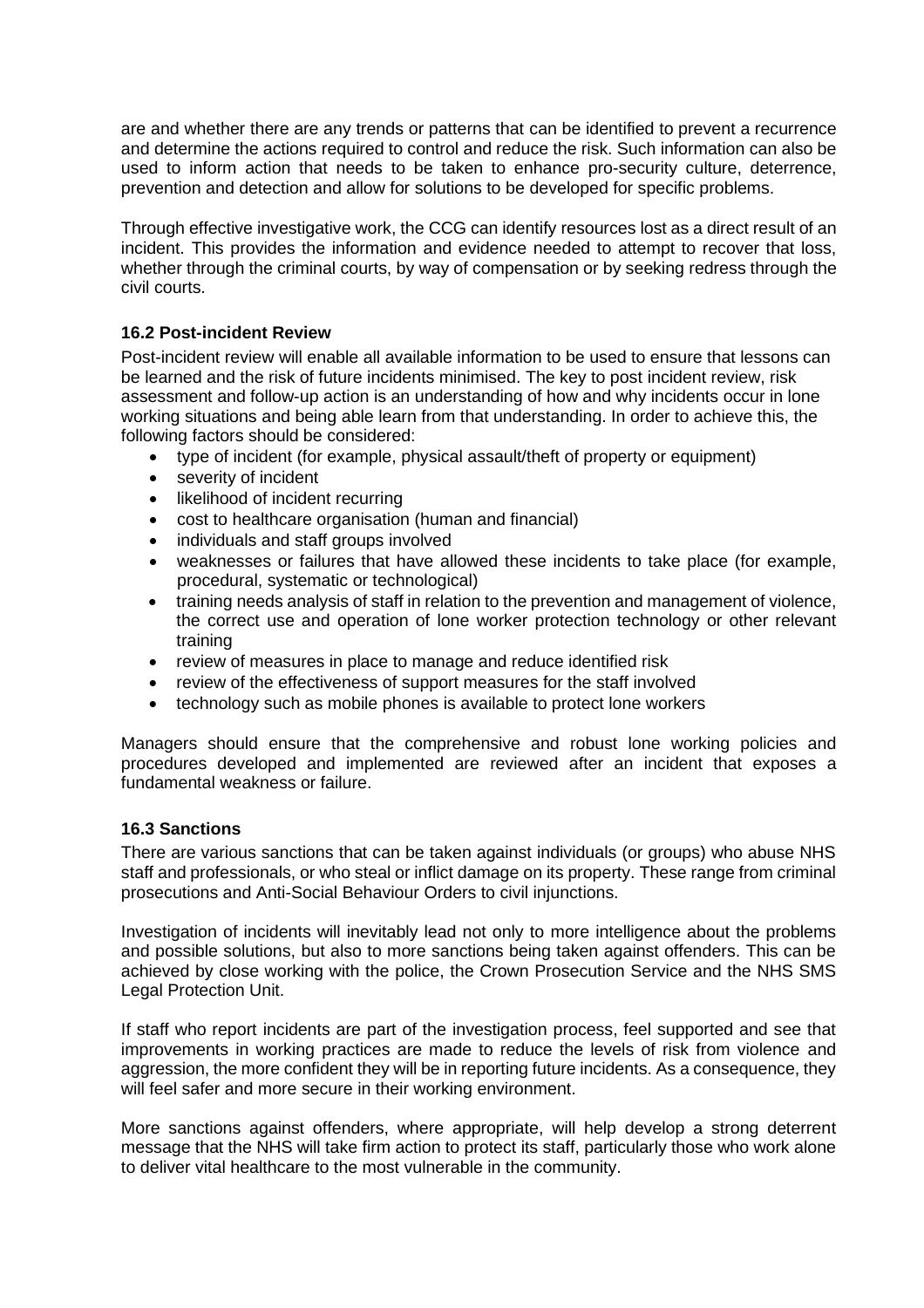are and whether there are any trends or patterns that can be identified to prevent a recurrence and determine the actions required to control and reduce the risk. Such information can also be used to inform action that needs to be taken to enhance pro-security culture, deterrence, prevention and detection and allow for solutions to be developed for specific problems.

Through effective investigative work, the CCG can identify resources lost as a direct result of an incident. This provides the information and evidence needed to attempt to recover that loss, whether through the criminal courts, by way of compensation or by seeking redress through the civil courts.

#### <span id="page-17-0"></span>**16.2 Post-incident Review**

Post-incident review will enable all available information to be used to ensure that lessons can be learned and the risk of future incidents minimised. The key to post incident review, risk assessment and follow-up action is an understanding of how and why incidents occur in lone working situations and being able learn from that understanding. In order to achieve this, the following factors should be considered:

- type of incident (for example, physical assault/theft of property or equipment)
- severity of incident
- likelihood of incident recurring
- cost to healthcare organisation (human and financial)
- individuals and staff groups involved
- weaknesses or failures that have allowed these incidents to take place (for example, procedural, systematic or technological)
- training needs analysis of staff in relation to the prevention and management of violence, the correct use and operation of lone worker protection technology or other relevant training
- review of measures in place to manage and reduce identified risk
- review of the effectiveness of support measures for the staff involved
- technology such as mobile phones is available to protect lone workers

Managers should ensure that the comprehensive and robust lone working policies and procedures developed and implemented are reviewed after an incident that exposes a fundamental weakness or failure.

#### <span id="page-17-1"></span>**16.3 Sanctions**

There are various sanctions that can be taken against individuals (or groups) who abuse NHS staff and professionals, or who steal or inflict damage on its property. These range from criminal prosecutions and Anti-Social Behaviour Orders to civil injunctions.

Investigation of incidents will inevitably lead not only to more intelligence about the problems and possible solutions, but also to more sanctions being taken against offenders. This can be achieved by close working with the police, the Crown Prosecution Service and the NHS SMS Legal Protection Unit.

If staff who report incidents are part of the investigation process, feel supported and see that improvements in working practices are made to reduce the levels of risk from violence and aggression, the more confident they will be in reporting future incidents. As a consequence, they will feel safer and more secure in their working environment.

More sanctions against offenders, where appropriate, will help develop a strong deterrent message that the NHS will take firm action to protect its staff, particularly those who work alone to deliver vital healthcare to the most vulnerable in the community.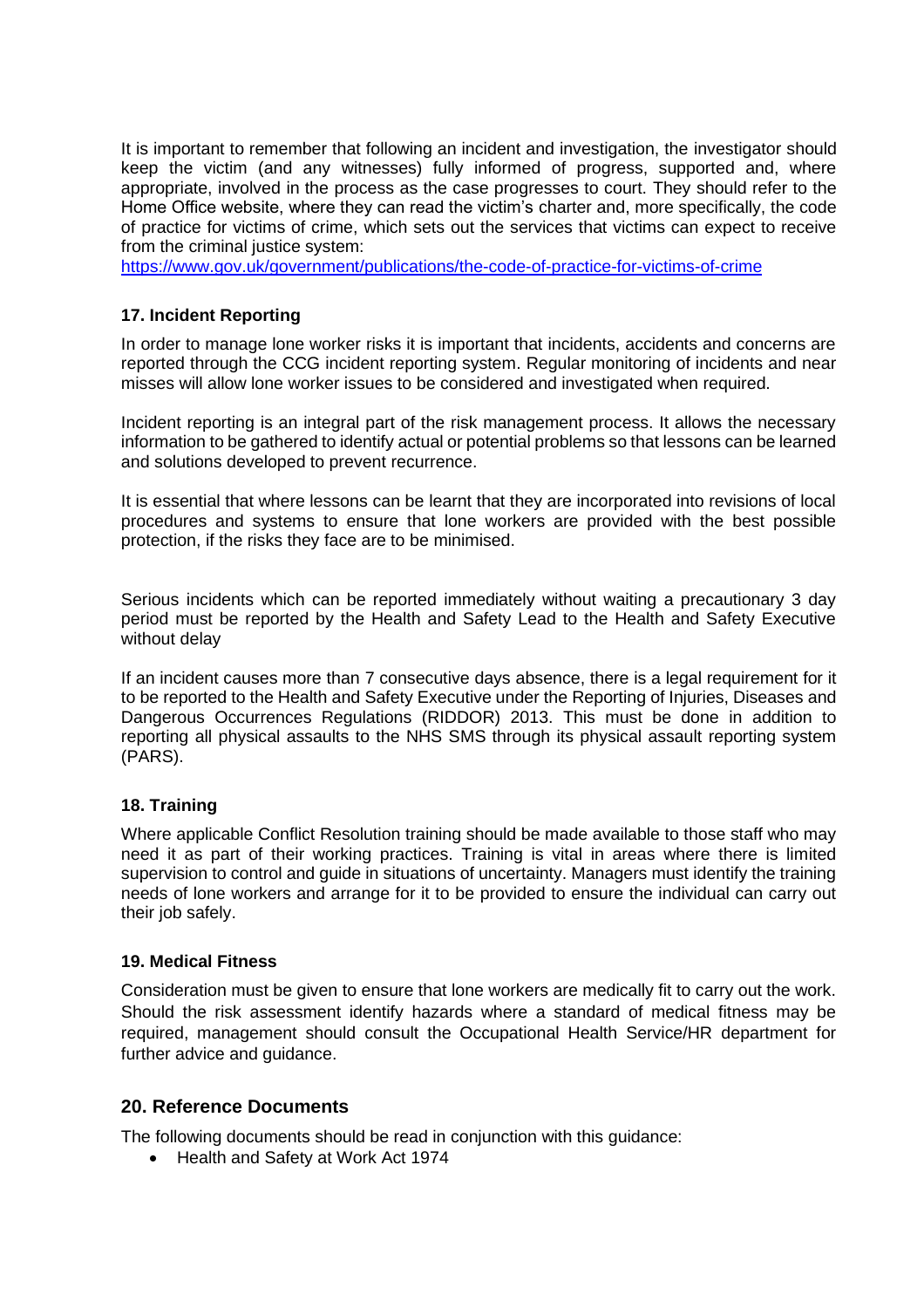It is important to remember that following an incident and investigation, the investigator should keep the victim (and any witnesses) fully informed of progress, supported and, where appropriate, involved in the process as the case progresses to court. They should refer to the Home Office website, where they can read the victim's charter and, more specifically, the code of practice for victims of crime, which sets out the services that victims can expect to receive from the criminal justice system:

<https://www.gov.uk/government/publications/the-code-of-practice-for-victims-of-crime>

#### <span id="page-18-0"></span>**17. Incident Reporting**

In order to manage lone worker risks it is important that incidents, accidents and concerns are reported through the CCG incident reporting system. Regular monitoring of incidents and near misses will allow lone worker issues to be considered and investigated when required.

Incident reporting is an integral part of the risk management process. It allows the necessary information to be gathered to identify actual or potential problems so that lessons can be learned and solutions developed to prevent recurrence.

It is essential that where lessons can be learnt that they are incorporated into revisions of local procedures and systems to ensure that lone workers are provided with the best possible protection, if the risks they face are to be minimised.

Serious incidents which can be reported immediately without waiting a precautionary 3 day period must be reported by the Health and Safety Lead to the Health and Safety Executive without delay

If an incident causes more than 7 consecutive days absence, there is a legal requirement for it to be reported to the Health and Safety Executive under the Reporting of Injuries, Diseases and Dangerous Occurrences Regulations (RIDDOR) 2013. This must be done in addition to reporting all physical assaults to the NHS SMS through its physical assault reporting system (PARS).

#### <span id="page-18-1"></span>**18. Training**

Where applicable Conflict Resolution training should be made available to those staff who may need it as part of their working practices. Training is vital in areas where there is limited supervision to control and guide in situations of uncertainty. Managers must identify the training needs of lone workers and arrange for it to be provided to ensure the individual can carry out their job safely.

#### <span id="page-18-2"></span>**19. Medical Fitness**

Consideration must be given to ensure that lone workers are medically fit to carry out the work. Should the risk assessment identify hazards where a standard of medical fitness may be required, management should consult the Occupational Health Service/HR department for further advice and guidance.

#### <span id="page-18-3"></span>**20. Reference Documents**

The following documents should be read in conjunction with this guidance:

• Health and Safety at Work Act 1974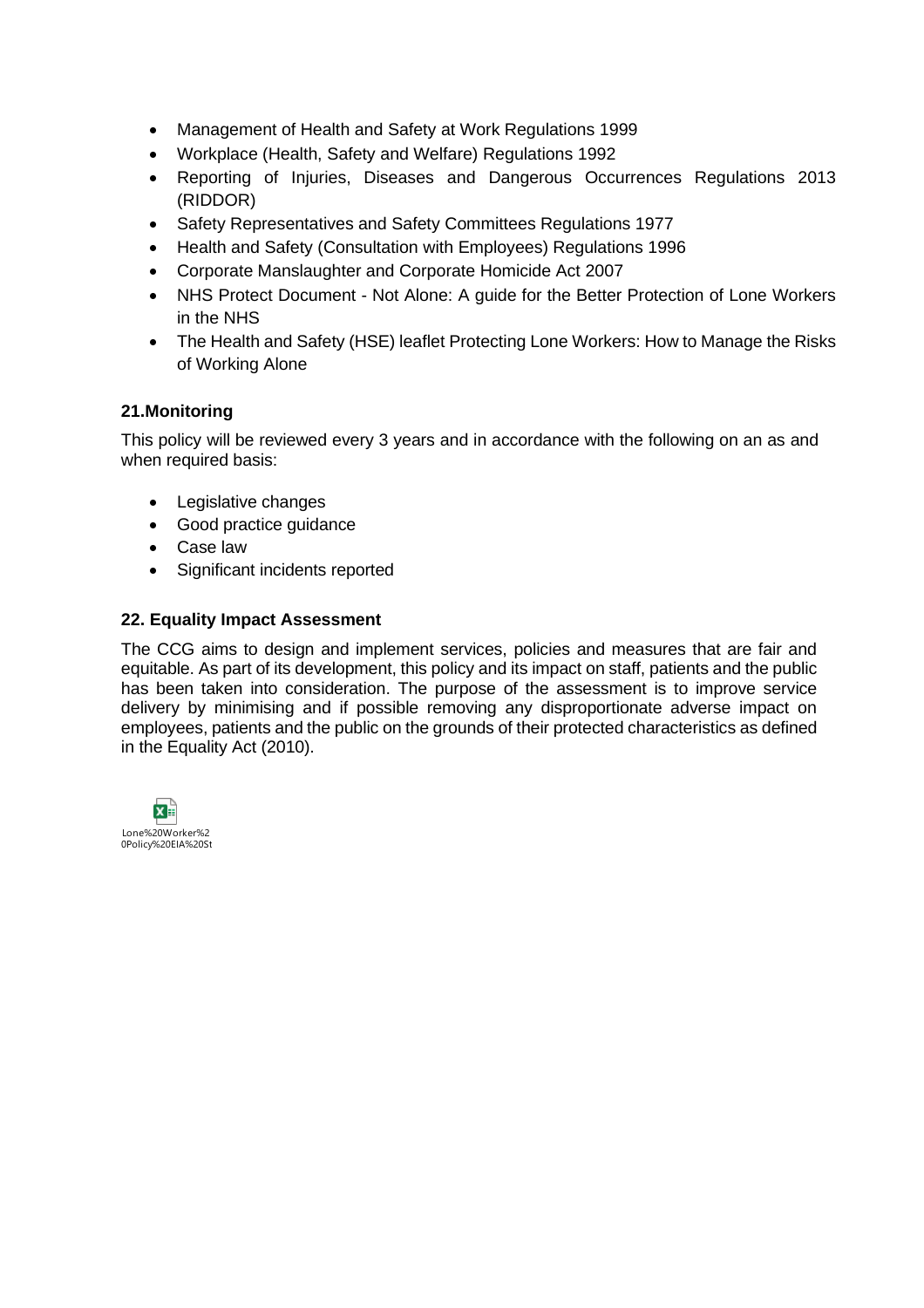- Management of Health and Safety at Work Regulations 1999
- Workplace (Health, Safety and Welfare) Regulations 1992
- Reporting of Injuries, Diseases and Dangerous Occurrences Regulations 2013 (RIDDOR)
- Safety Representatives and Safety Committees Regulations 1977
- Health and Safety (Consultation with Employees) Regulations 1996
- Corporate Manslaughter and Corporate Homicide Act 2007
- NHS Protect Document Not Alone: A guide for the Better Protection of Lone Workers in the NHS
- The Health and Safety (HSE) leaflet Protecting Lone Workers: How to Manage the Risks of Working Alone

#### <span id="page-19-0"></span>**21.Monitoring**

This policy will be reviewed every 3 years and in accordance with the following on an as and when required basis:

- Legislative changes
- Good practice guidance
- Case law
- Significant incidents reported

#### <span id="page-19-1"></span>**22. Equality Impact Assessment**

The CCG aims to design and implement services, policies and measures that are fair and equitable. As part of its development, this policy and its impact on staff, patients and the public has been taken into consideration. The purpose of the assessment is to improve service delivery by minimising and if possible removing any disproportionate adverse impact on employees, patients and the public on the grounds of their protected characteristics as defined in the Equality Act (2010).

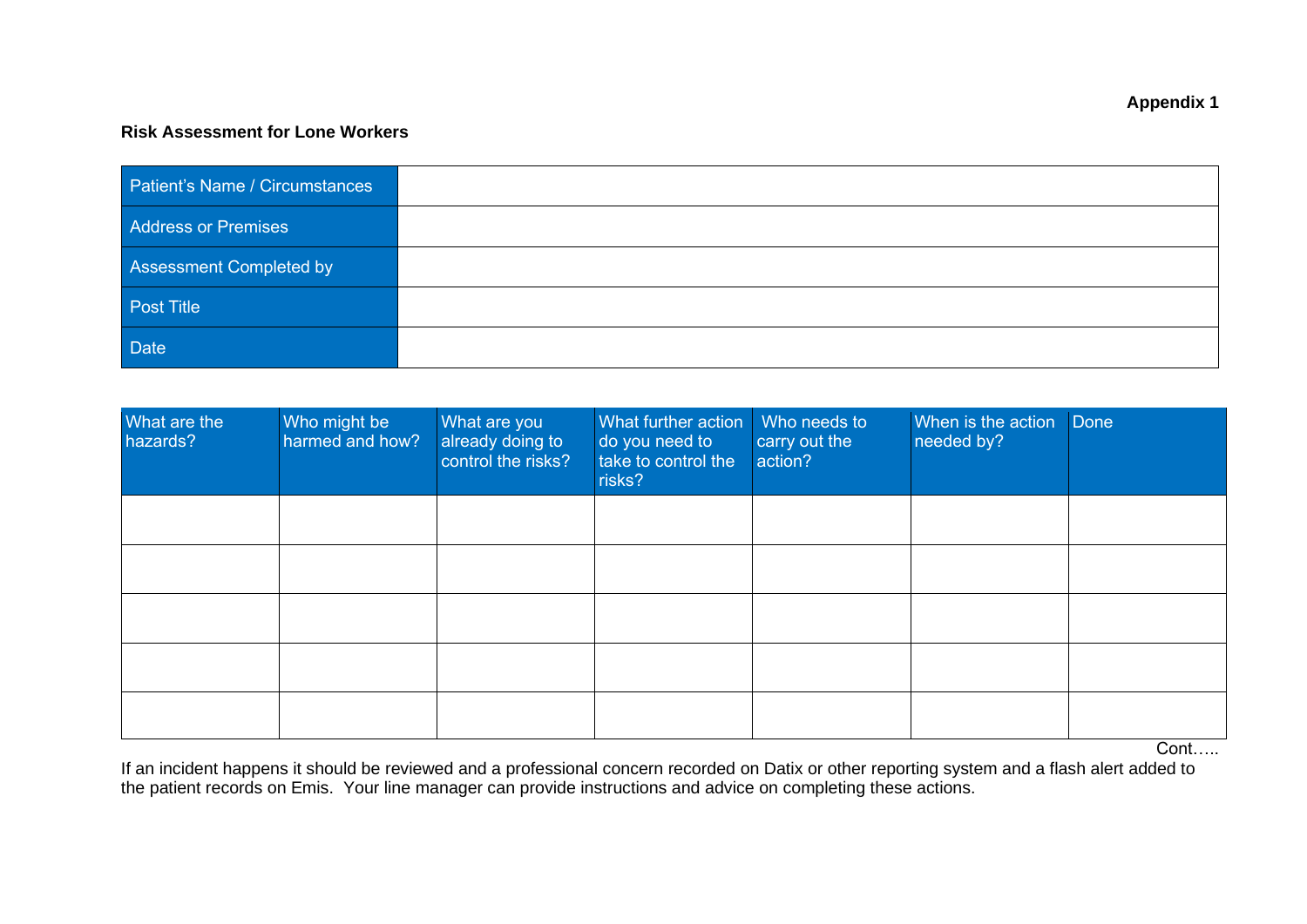#### **Risk Assessment for Lone Workers**

| Patient's Name / Circumstances |  |
|--------------------------------|--|
| Address or Premises            |  |
| Assessment Completed by        |  |
| Post Title                     |  |
| Date                           |  |

<span id="page-20-0"></span>

| What are the<br>hazards? | Who might be<br>harmed and how? | What are you<br>already doing to<br>control the risks? | What further action<br>do you need to<br>take to control the<br>risks? | Who needs to<br>carry out the<br>action? | When is the action Done<br>needed by? |  |
|--------------------------|---------------------------------|--------------------------------------------------------|------------------------------------------------------------------------|------------------------------------------|---------------------------------------|--|
|                          |                                 |                                                        |                                                                        |                                          |                                       |  |
|                          |                                 |                                                        |                                                                        |                                          |                                       |  |
|                          |                                 |                                                        |                                                                        |                                          |                                       |  |
|                          |                                 |                                                        |                                                                        |                                          |                                       |  |
|                          |                                 |                                                        |                                                                        |                                          |                                       |  |

Cont……

If an incident happens it should be reviewed and a professional concern recorded on Datix or other reporting system and a flash alert added to the patient records on Emis. Your line manager can provide instructions and advice on completing these actions.

#### **Appendix 1**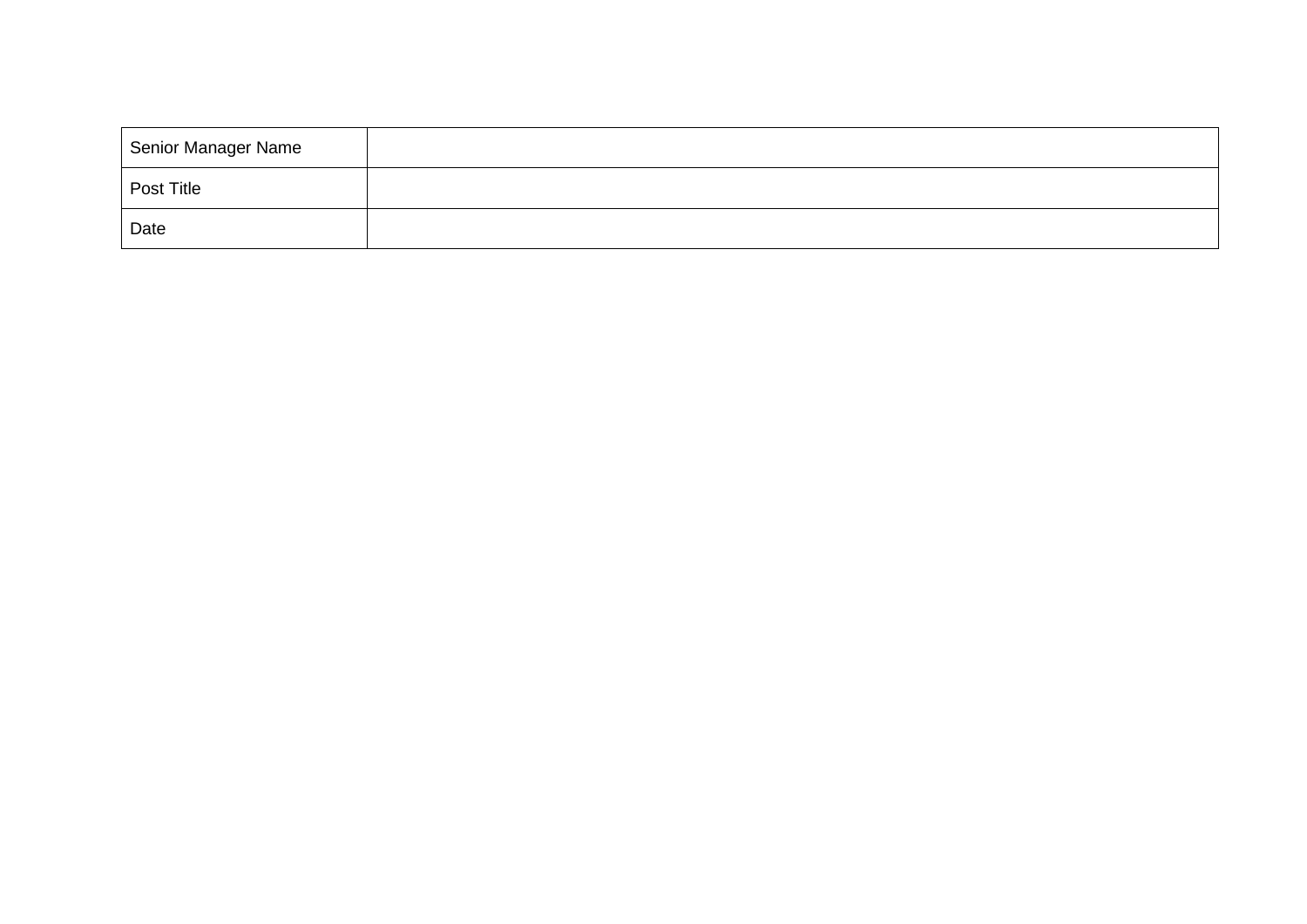| Senior Manager Name |  |
|---------------------|--|
| Post Title          |  |
| Date                |  |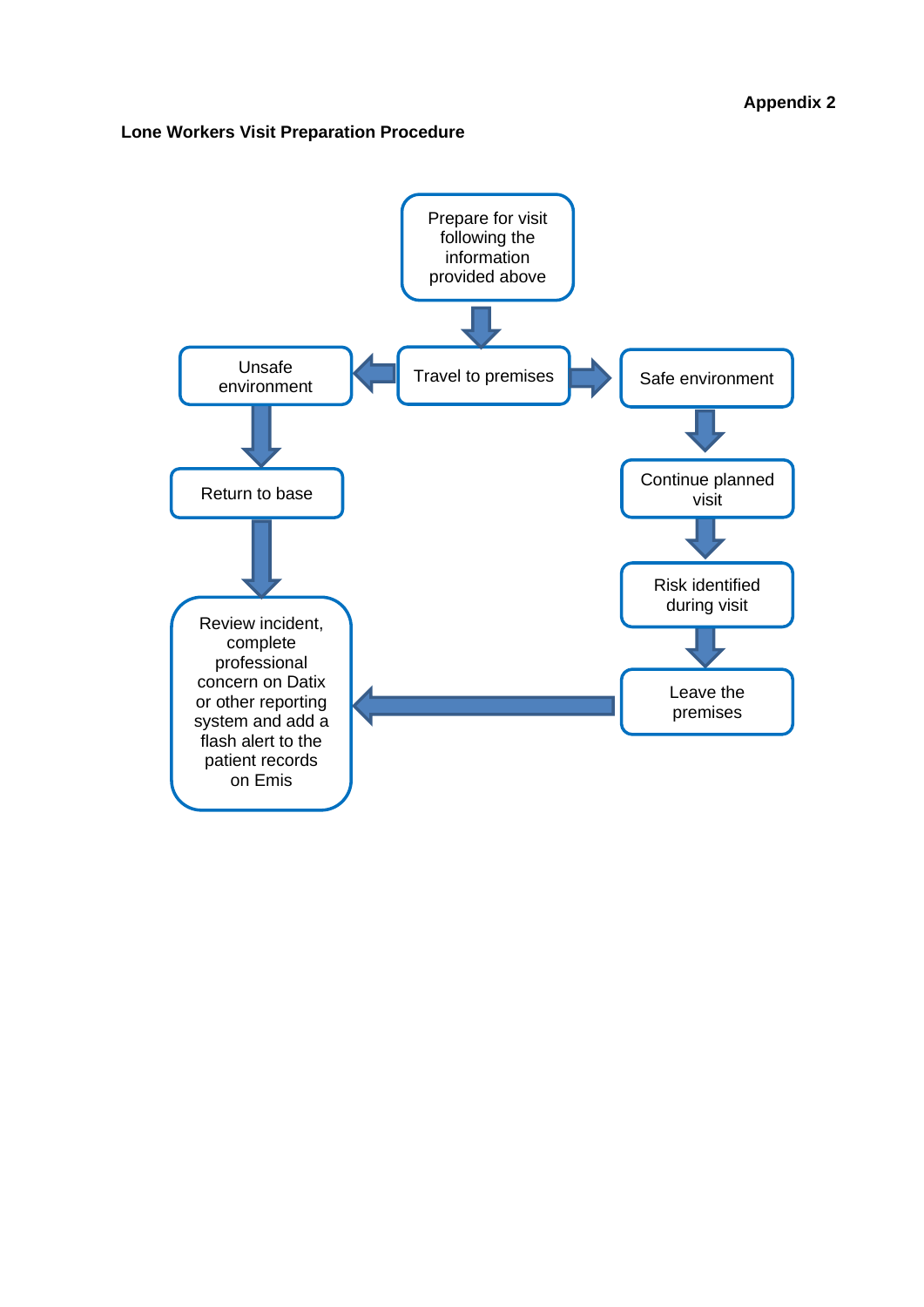#### <span id="page-22-0"></span>**Lone Workers Visit Preparation Procedure**

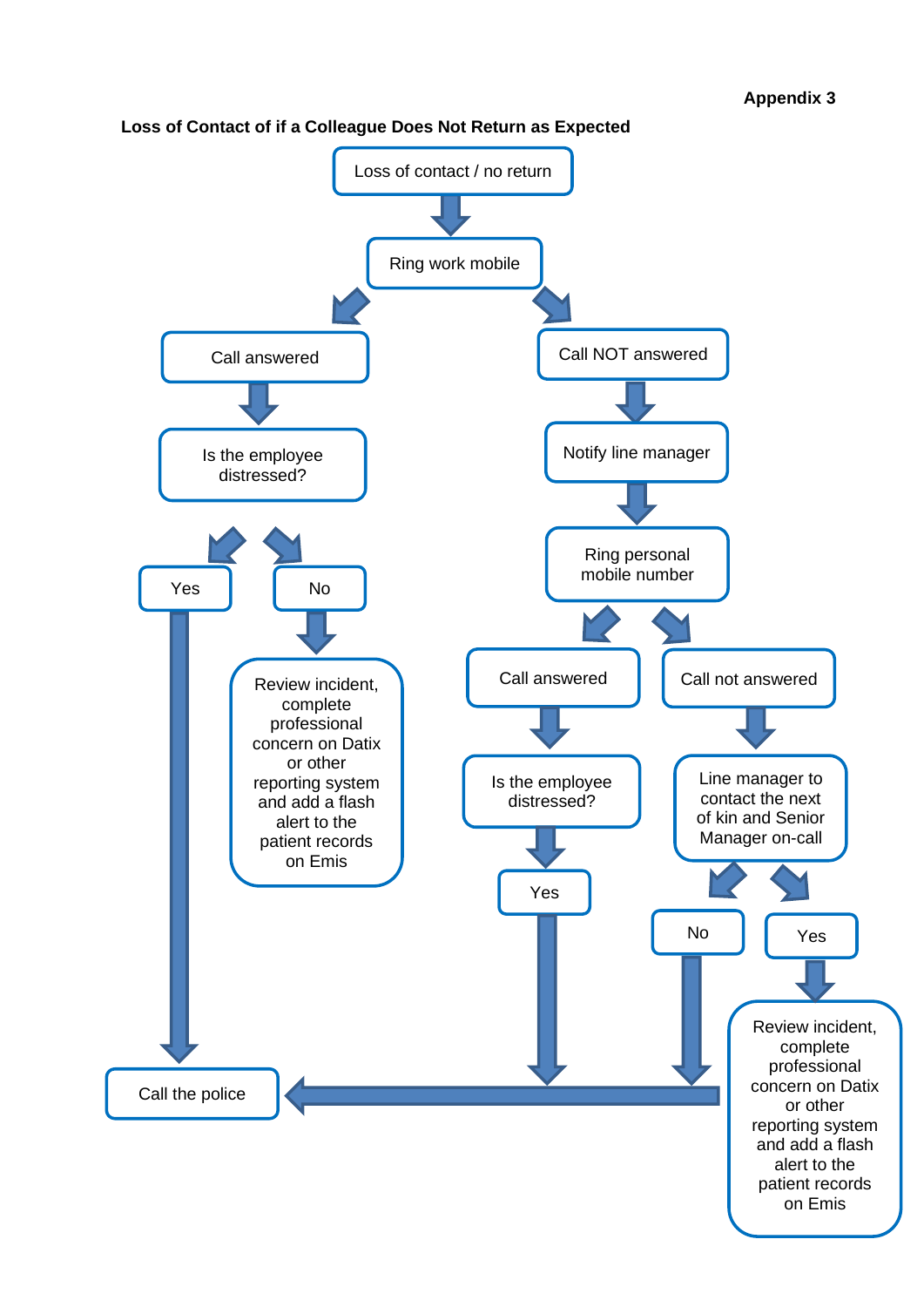

#### <span id="page-23-0"></span>**Loss of Contact of if a Colleague Does Not Return as Expected**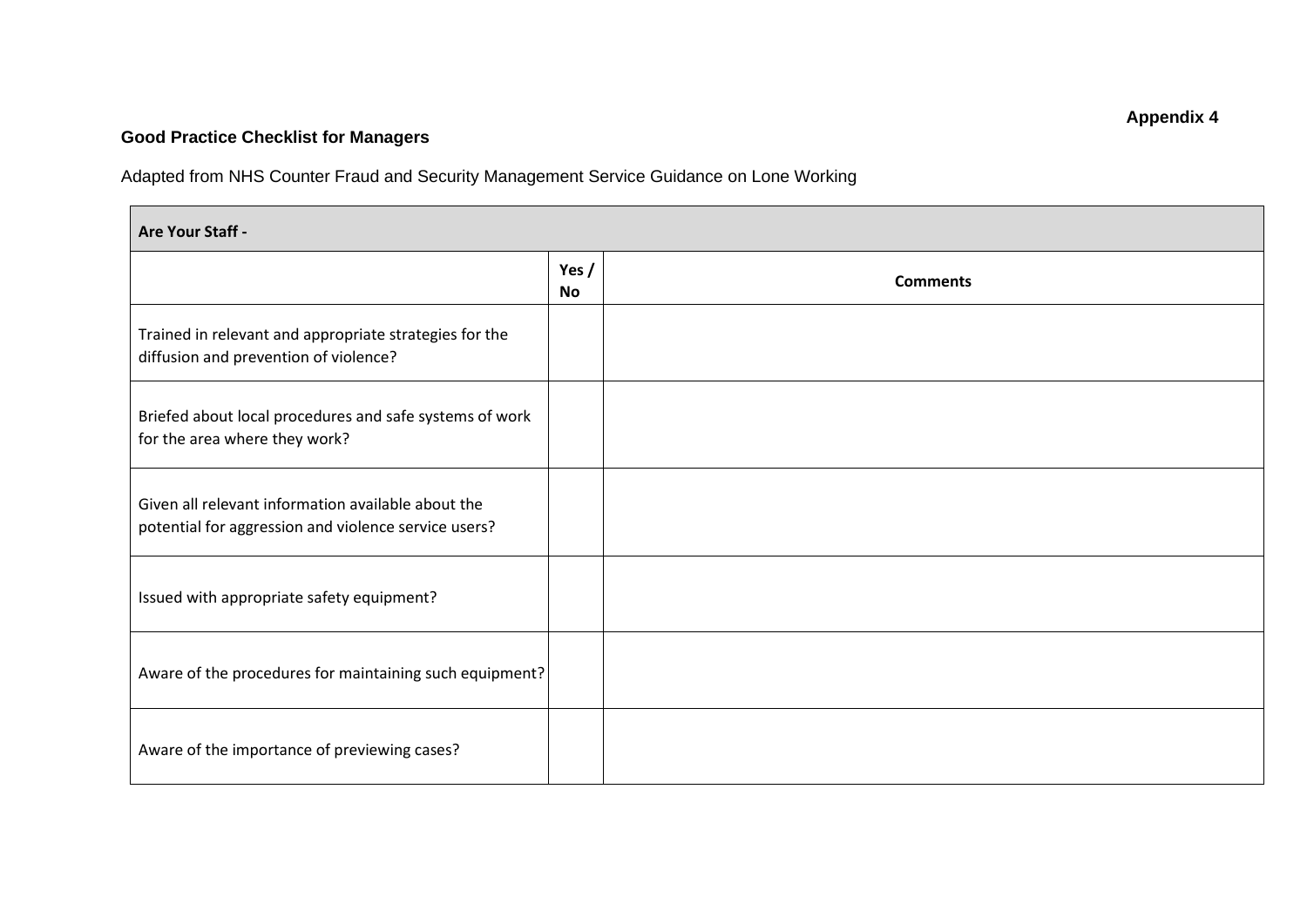# **Good Practice Checklist for Managers**

Adapted from NHS Counter Fraud and Security Management Service Guidance on Lone Working

<span id="page-24-0"></span>

| Are Your Staff -                                                                                           |                      |                 |
|------------------------------------------------------------------------------------------------------------|----------------------|-----------------|
|                                                                                                            | Yes $/$<br><b>No</b> | <b>Comments</b> |
| Trained in relevant and appropriate strategies for the<br>diffusion and prevention of violence?            |                      |                 |
| Briefed about local procedures and safe systems of work<br>for the area where they work?                   |                      |                 |
| Given all relevant information available about the<br>potential for aggression and violence service users? |                      |                 |
| Issued with appropriate safety equipment?                                                                  |                      |                 |
| Aware of the procedures for maintaining such equipment?                                                    |                      |                 |
| Aware of the importance of previewing cases?                                                               |                      |                 |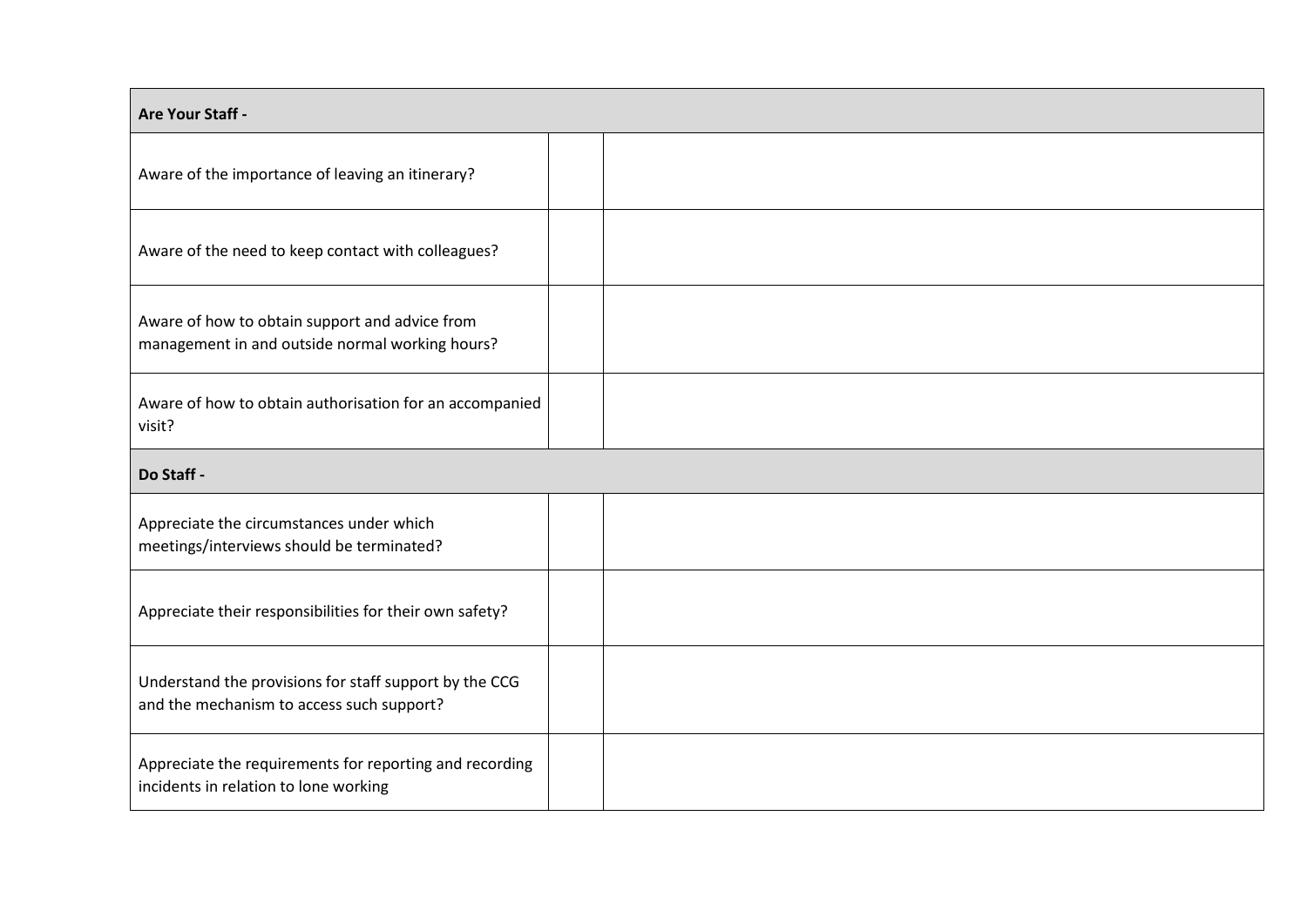| Are Your Staff -                                                                                    |  |  |  |
|-----------------------------------------------------------------------------------------------------|--|--|--|
| Aware of the importance of leaving an itinerary?                                                    |  |  |  |
| Aware of the need to keep contact with colleagues?                                                  |  |  |  |
| Aware of how to obtain support and advice from<br>management in and outside normal working hours?   |  |  |  |
| Aware of how to obtain authorisation for an accompanied<br>visit?                                   |  |  |  |
| Do Staff -                                                                                          |  |  |  |
| Appreciate the circumstances under which<br>meetings/interviews should be terminated?               |  |  |  |
| Appreciate their responsibilities for their own safety?                                             |  |  |  |
| Understand the provisions for staff support by the CCG<br>and the mechanism to access such support? |  |  |  |
| Appreciate the requirements for reporting and recording<br>incidents in relation to lone working    |  |  |  |